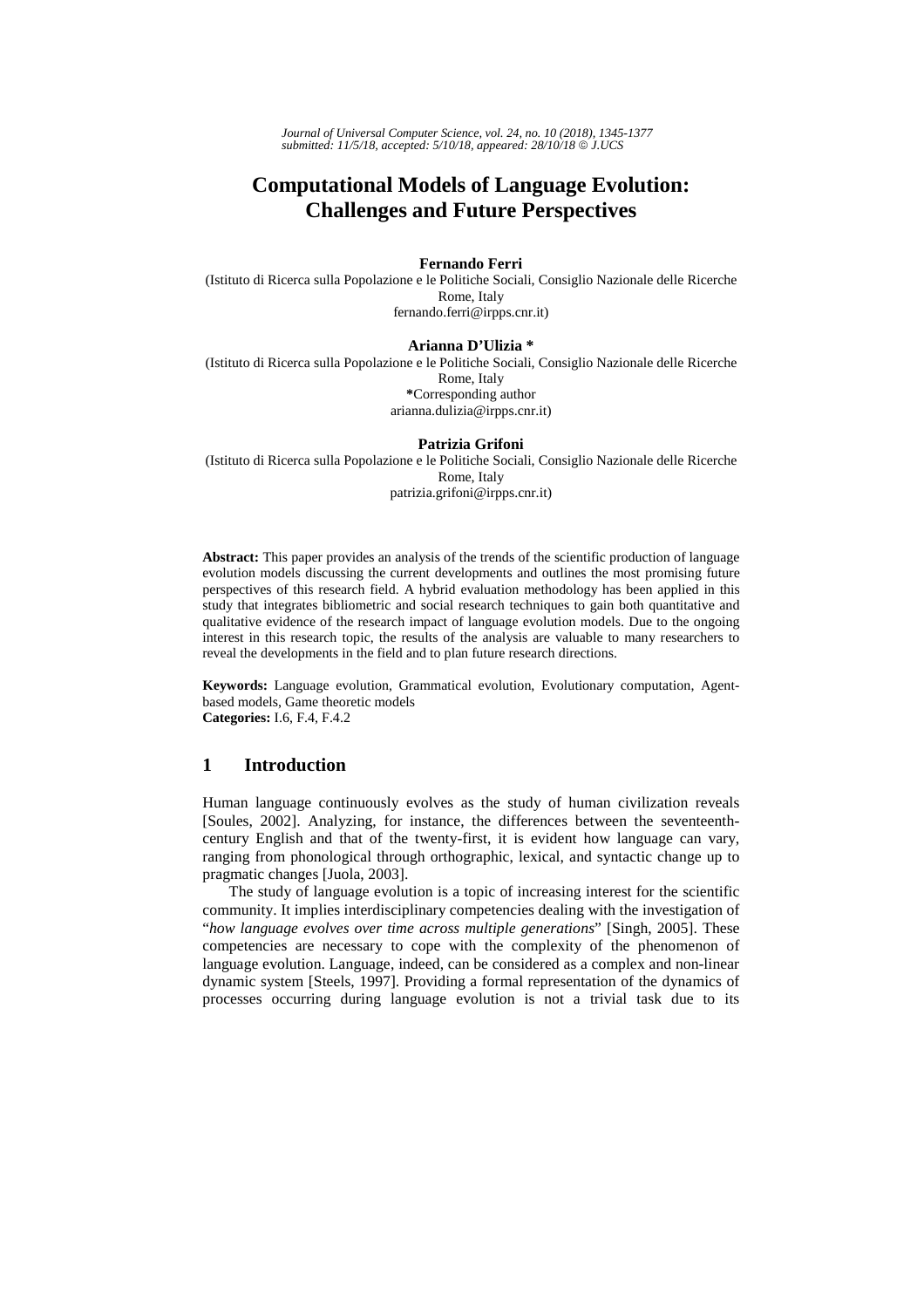*Journal of Universal Computer Science, vol. 24, no. 10 (2018), 1345-1377 submitted: 11/5/18, accepted: 5/10/18, appeared: 28/10/18* © *J.UCS*

# **Computational Models of Language Evolution: Challenges and Future Perspectives**

#### **Fernando Ferri**

(Istituto di Ricerca sulla Popolazione e le Politiche Sociali, Consiglio Nazionale delle Ricerche Rome, Italy fernando.ferri@irpps.cnr.it)

#### **Arianna D'Ulizia \***

(Istituto di Ricerca sulla Popolazione e le Politiche Sociali, Consiglio Nazionale delle Ricerche Rome, Italy **\***Corresponding author arianna.dulizia@irpps.cnr.it)

#### **Patrizia Grifoni**

(Istituto di Ricerca sulla Popolazione e le Politiche Sociali, Consiglio Nazionale delle Ricerche Rome, Italy patrizia.grifoni@irpps.cnr.it)

**Abstract:** This paper provides an analysis of the trends of the scientific production of language evolution models discussing the current developments and outlines the most promising future perspectives of this research field. A hybrid evaluation methodology has been applied in this study that integrates bibliometric and social research techniques to gain both quantitative and qualitative evidence of the research impact of language evolution models. Due to the ongoing interest in this research topic, the results of the analysis are valuable to many researchers to reveal the developments in the field and to plan future research directions.

**Keywords:** Language evolution, Grammatical evolution, Evolutionary computation, Agentbased models, Game theoretic models **Categories:** I.6, F.4, F.4.2

### **1 Introduction**

Human language continuously evolves as the study of human civilization reveals [Soules, 2002]. Analyzing, for instance, the differences between the seventeenthcentury English and that of the twenty-first, it is evident how language can vary, ranging from phonological through orthographic, lexical, and syntactic change up to pragmatic changes [Juola, 2003].

The study of language evolution is a topic of increasing interest for the scientific community. It implies interdisciplinary competencies dealing with the investigation of "*how language evolves over time across multiple generations*" [Singh, 2005]. These competencies are necessary to cope with the complexity of the phenomenon of language evolution. Language, indeed, can be considered as a complex and non-linear dynamic system [Steels, 1997]. Providing a formal representation of the dynamics of processes occurring during language evolution is not a trivial task due to its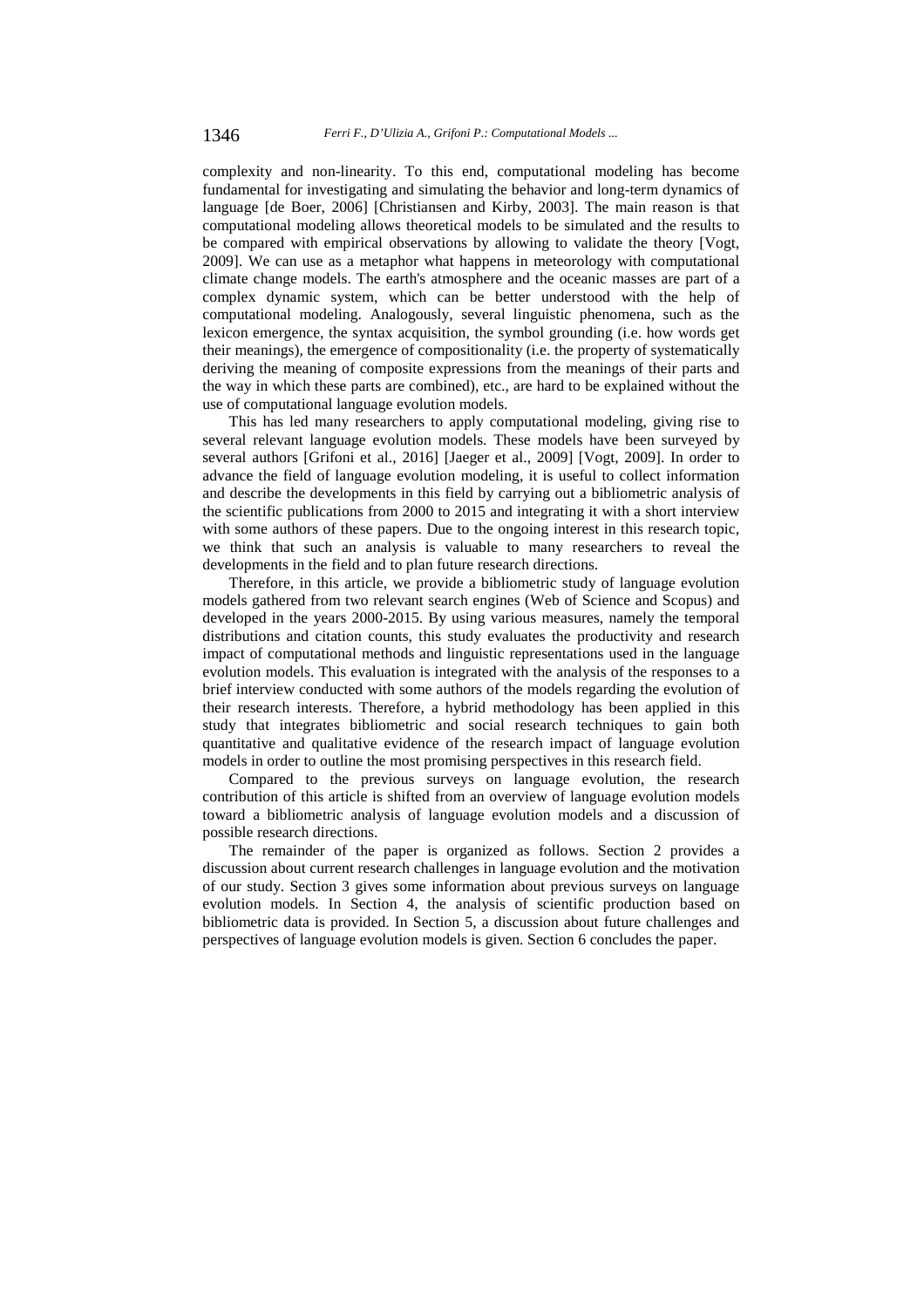complexity and non-linearity. To this end, computational modeling has become fundamental for investigating and simulating the behavior and long-term dynamics of language [de Boer, 2006] [Christiansen and Kirby, 2003]. The main reason is that computational modeling allows theoretical models to be simulated and the results to be compared with empirical observations by allowing to validate the theory [Vogt, 2009]. We can use as a metaphor what happens in meteorology with computational climate change models. The earth's atmosphere and the oceanic masses are part of a complex dynamic system, which can be better understood with the help of computational modeling. Analogously, several linguistic phenomena, such as the lexicon emergence, the syntax acquisition, the symbol grounding (i.e. how words get their meanings), the emergence of compositionality (i.e. the property of systematically deriving the meaning of composite expressions from the meanings of their parts and the way in which these parts are combined), etc., are hard to be explained without the use of computational language evolution models.

This has led many researchers to apply computational modeling, giving rise to several relevant language evolution models. These models have been surveyed by several authors [Grifoni et al., 2016] [Jaeger et al., 2009] [Vogt, 2009]. In order to advance the field of language evolution modeling, it is useful to collect information and describe the developments in this field by carrying out a bibliometric analysis of the scientific publications from 2000 to 2015 and integrating it with a short interview with some authors of these papers. Due to the ongoing interest in this research topic, we think that such an analysis is valuable to many researchers to reveal the developments in the field and to plan future research directions.

Therefore, in this article, we provide a bibliometric study of language evolution models gathered from two relevant search engines (Web of Science and Scopus) and developed in the years 2000-2015. By using various measures, namely the temporal distributions and citation counts, this study evaluates the productivity and research impact of computational methods and linguistic representations used in the language evolution models. This evaluation is integrated with the analysis of the responses to a brief interview conducted with some authors of the models regarding the evolution of their research interests. Therefore, a hybrid methodology has been applied in this study that integrates bibliometric and social research techniques to gain both quantitative and qualitative evidence of the research impact of language evolution models in order to outline the most promising perspectives in this research field.

Compared to the previous surveys on language evolution, the research contribution of this article is shifted from an overview of language evolution models toward a bibliometric analysis of language evolution models and a discussion of possible research directions.

The remainder of the paper is organized as follows. Section 2 provides a discussion about current research challenges in language evolution and the motivation of our study. Section 3 gives some information about previous surveys on language evolution models. In Section 4, the analysis of scientific production based on bibliometric data is provided. In Section 5, a discussion about future challenges and perspectives of language evolution models is given. Section 6 concludes the paper.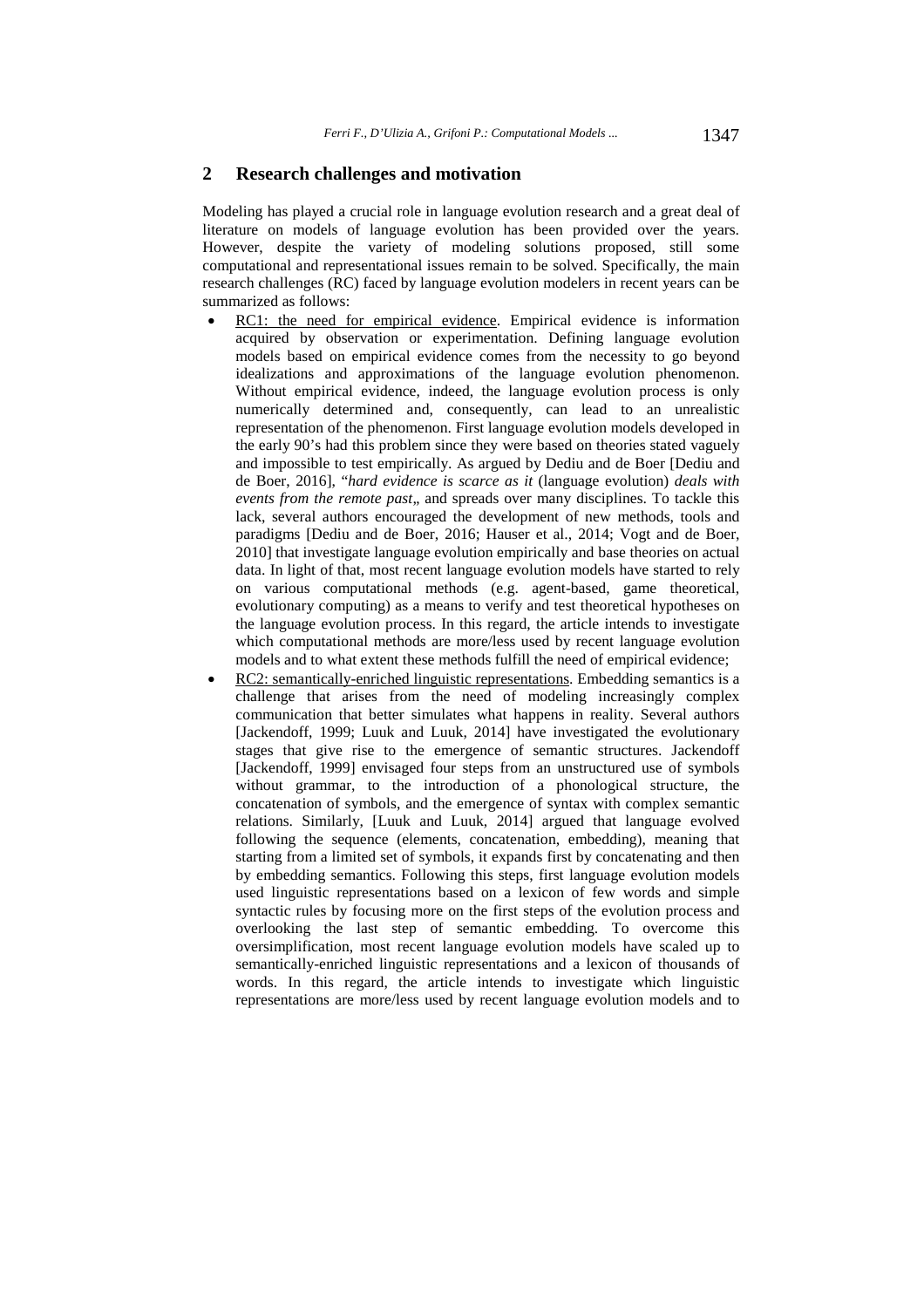#### **2 Research challenges and motivation**

Modeling has played a crucial role in language evolution research and a great deal of literature on models of language evolution has been provided over the years. However, despite the variety of modeling solutions proposed, still some computational and representational issues remain to be solved. Specifically, the main research challenges (RC) faced by language evolution modelers in recent years can be summarized as follows:

- RC1: the need for empirical evidence. Empirical evidence is information acquired by observation or experimentation. Defining language evolution models based on empirical evidence comes from the necessity to go beyond idealizations and approximations of the language evolution phenomenon. Without empirical evidence, indeed, the language evolution process is only numerically determined and, consequently, can lead to an unrealistic representation of the phenomenon. First language evolution models developed in the early 90's had this problem since they were based on theories stated vaguely and impossible to test empirically. As argued by Dediu and de Boer [Dediu and de Boer, 2016], "*hard evidence is scarce as it* (language evolution) *deals with events from the remote past*,, and spreads over many disciplines. To tackle this lack, several authors encouraged the development of new methods, tools and paradigms [Dediu and de Boer, 2016; Hauser et al., 2014; Vogt and de Boer, 2010] that investigate language evolution empirically and base theories on actual data. In light of that, most recent language evolution models have started to rely on various computational methods (e.g. agent-based, game theoretical, evolutionary computing) as a means to verify and test theoretical hypotheses on the language evolution process. In this regard, the article intends to investigate which computational methods are more/less used by recent language evolution models and to what extent these methods fulfill the need of empirical evidence;
- RC2: semantically-enriched linguistic representations. Embedding semantics is a challenge that arises from the need of modeling increasingly complex communication that better simulates what happens in reality. Several authors [Jackendoff, 1999; Luuk and Luuk, 2014] have investigated the evolutionary stages that give rise to the emergence of semantic structures. Jackendoff [Jackendoff, 1999] envisaged four steps from an unstructured use of symbols without grammar, to the introduction of a phonological structure, the concatenation of symbols, and the emergence of syntax with complex semantic relations. Similarly, [Luuk and Luuk, 2014] argued that language evolved following the sequence (elements, concatenation, embedding), meaning that starting from a limited set of symbols, it expands first by concatenating and then by embedding semantics. Following this steps, first language evolution models used linguistic representations based on a lexicon of few words and simple syntactic rules by focusing more on the first steps of the evolution process and overlooking the last step of semantic embedding. To overcome this oversimplification, most recent language evolution models have scaled up to semantically-enriched linguistic representations and a lexicon of thousands of words. In this regard, the article intends to investigate which linguistic representations are more/less used by recent language evolution models and to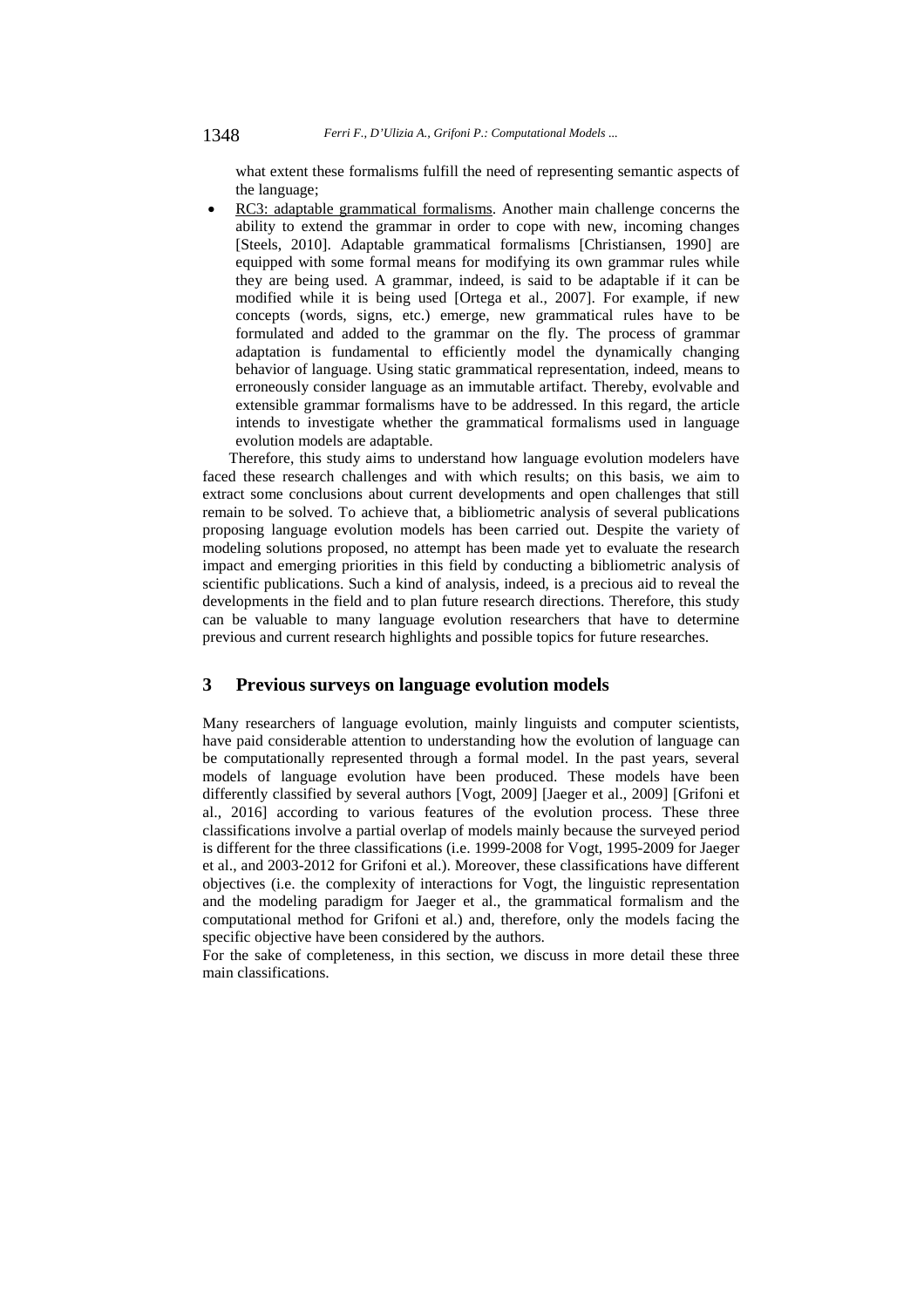what extent these formalisms fulfill the need of representing semantic aspects of the language;

 RC3: adaptable grammatical formalisms. Another main challenge concerns the ability to extend the grammar in order to cope with new, incoming changes [Steels, 2010]. Adaptable grammatical formalisms [Christiansen, 1990] are equipped with some formal means for modifying its own grammar rules while they are being used. A grammar, indeed, is said to be adaptable if it can be modified while it is being used [Ortega et al., 2007]. For example, if new concepts (words, signs, etc.) emerge, new grammatical rules have to be formulated and added to the grammar on the fly. The process of grammar adaptation is fundamental to efficiently model the dynamically changing behavior of language. Using static grammatical representation, indeed, means to erroneously consider language as an immutable artifact. Thereby, evolvable and extensible grammar formalisms have to be addressed. In this regard, the article intends to investigate whether the grammatical formalisms used in language evolution models are adaptable.

Therefore, this study aims to understand how language evolution modelers have faced these research challenges and with which results; on this basis, we aim to extract some conclusions about current developments and open challenges that still remain to be solved. To achieve that, a bibliometric analysis of several publications proposing language evolution models has been carried out. Despite the variety of modeling solutions proposed, no attempt has been made yet to evaluate the research impact and emerging priorities in this field by conducting a bibliometric analysis of scientific publications. Such a kind of analysis, indeed, is a precious aid to reveal the developments in the field and to plan future research directions. Therefore, this study can be valuable to many language evolution researchers that have to determine previous and current research highlights and possible topics for future researches.

#### **3 Previous surveys on language evolution models**

Many researchers of language evolution, mainly linguists and computer scientists, have paid considerable attention to understanding how the evolution of language can be computationally represented through a formal model. In the past years, several models of language evolution have been produced. These models have been differently classified by several authors [Vogt, 2009] [Jaeger et al., 2009] [Grifoni et al., 2016] according to various features of the evolution process. These three classifications involve a partial overlap of models mainly because the surveyed period is different for the three classifications (i.e. 1999-2008 for Vogt, 1995-2009 for Jaeger et al., and 2003-2012 for Grifoni et al.). Moreover, these classifications have different objectives (i.e. the complexity of interactions for Vogt, the linguistic representation and the modeling paradigm for Jaeger et al., the grammatical formalism and the computational method for Grifoni et al.) and, therefore, only the models facing the specific objective have been considered by the authors.

For the sake of completeness, in this section, we discuss in more detail these three main classifications.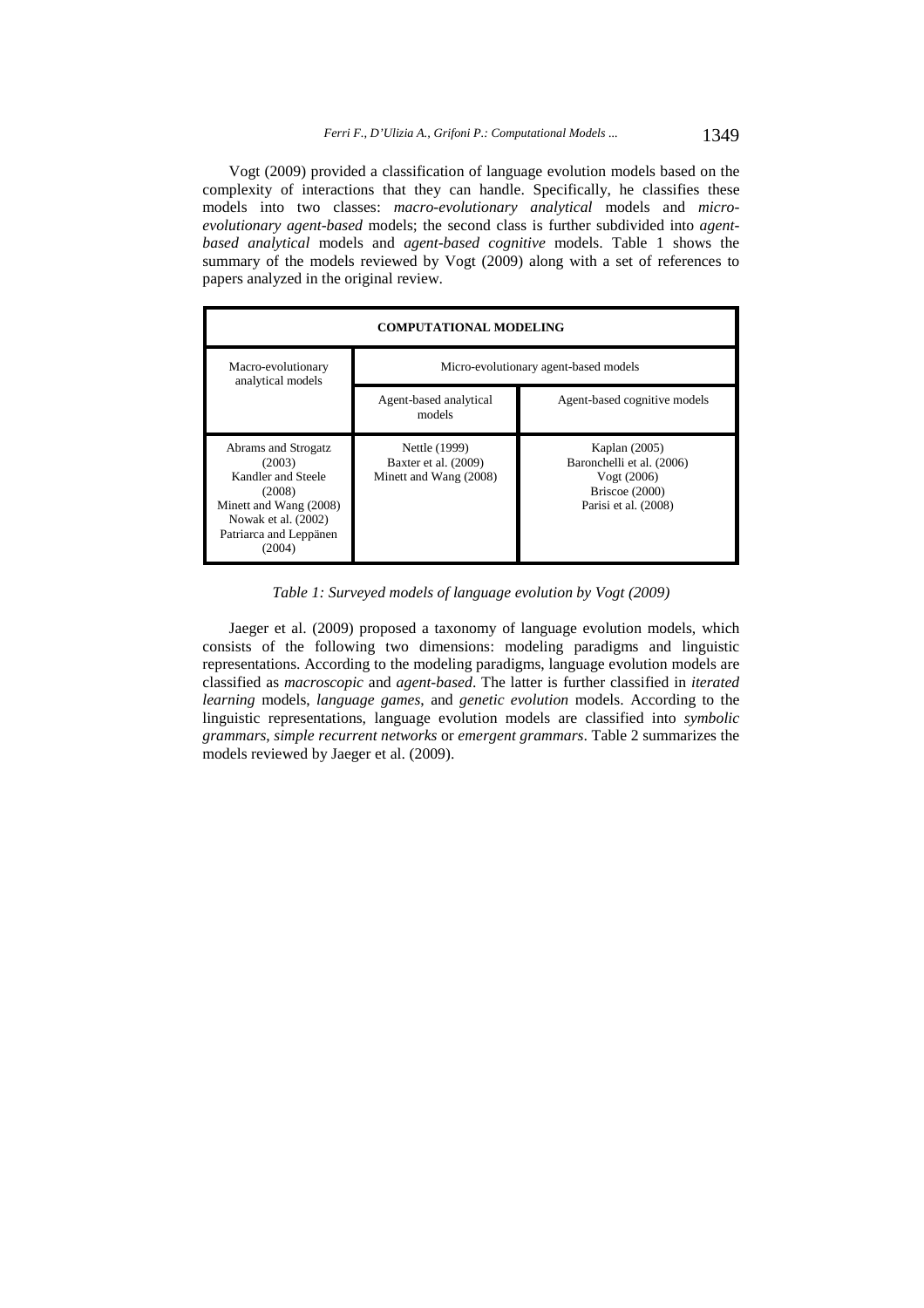Vogt (2009) provided a classification of language evolution models based on the complexity of interactions that they can handle. Specifically, he classifies these models into two classes: *macro-evolutionary analytical* models and *microevolutionary agent-based* models; the second class is further subdivided into *agentbased analytical* models and *agent-based cognitive* models. Table 1 shows the summary of the models reviewed by Vogt (2009) along with a set of references to papers analyzed in the original review.



*Table 1: Surveyed models of language evolution by Vogt (2009)* 

Jaeger et al. (2009) proposed a taxonomy of language evolution models, which consists of the following two dimensions: modeling paradigms and linguistic representations. According to the modeling paradigms, language evolution models are classified as *macroscopic* and *agent-based*. The latter is further classified in *iterated learning* models, *language games*, and *genetic evolution* models. According to the linguistic representations, language evolution models are classified into *symbolic grammars*, *simple recurrent networks* or *emergent grammars*. Table 2 summarizes the models reviewed by Jaeger et al. (2009).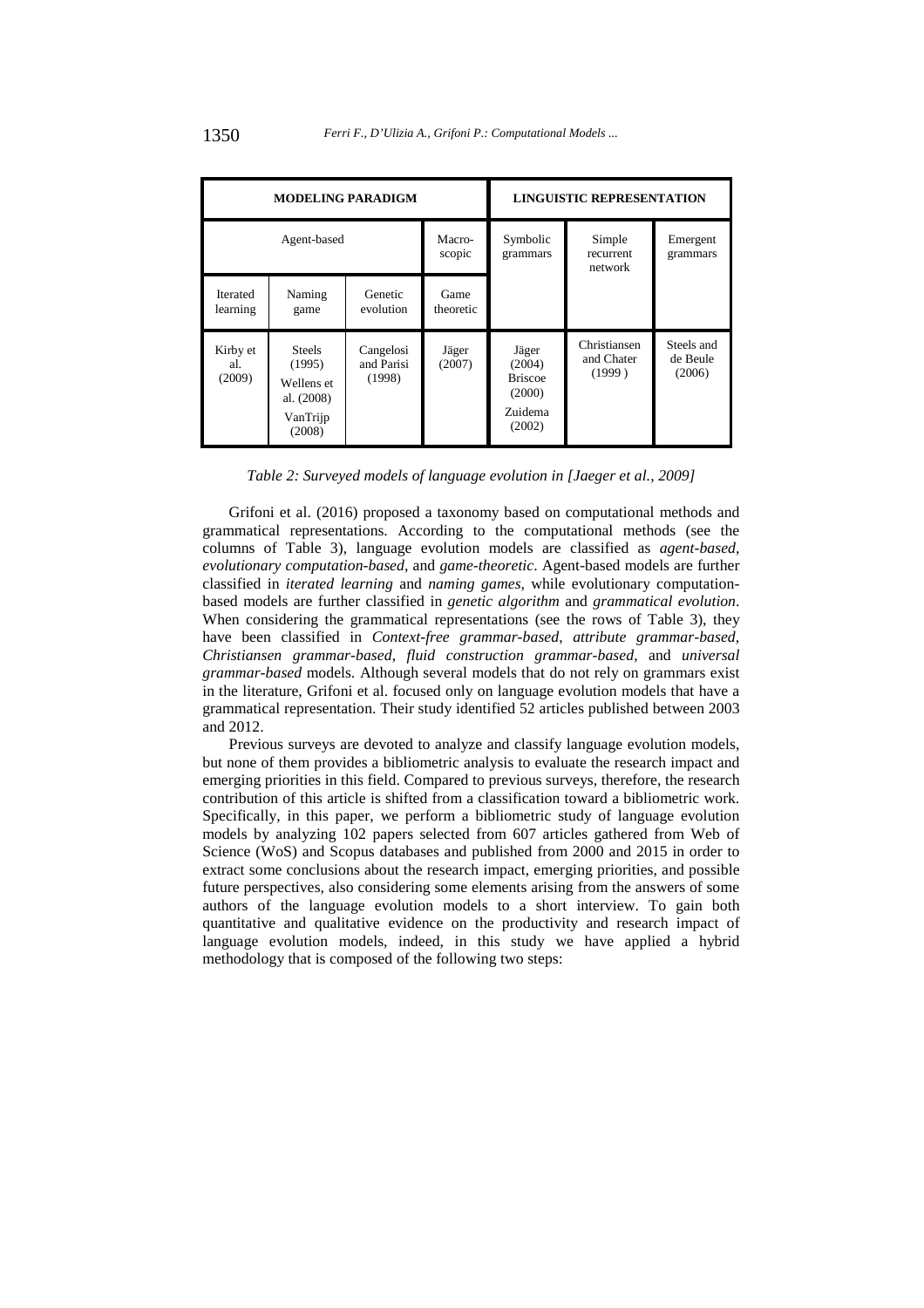| <b>MODELING PARADIGM</b>    |                                                                           |                                   |                   | <b>LINGUISTIC REPRESENTATION</b>                                 |                                      |                                  |
|-----------------------------|---------------------------------------------------------------------------|-----------------------------------|-------------------|------------------------------------------------------------------|--------------------------------------|----------------------------------|
| Agent-based                 |                                                                           |                                   | Macro-<br>scopic  | Symbolic<br>grammars                                             | Simple<br>recurrent<br>network       | Emergent<br>grammars             |
| <b>Iterated</b><br>learning | Naming<br>game                                                            | Genetic<br>evolution              | Game<br>theoretic |                                                                  |                                      |                                  |
| Kirby et<br>al.<br>(2009)   | <b>Steels</b><br>(1995)<br>Wellens et<br>al. (2008)<br>VanTrijp<br>(2008) | Cangelosi<br>and Parisi<br>(1998) | Jäger<br>(2007)   | Jäger<br>(2004)<br><b>Briscoe</b><br>(2000)<br>Zuidema<br>(2002) | Christiansen<br>and Chater<br>(1999) | Steels and<br>de Beule<br>(2006) |

*Table 2: Surveyed models of language evolution in [Jaeger et al., 2009]* 

Grifoni et al. (2016) proposed a taxonomy based on computational methods and grammatical representations. According to the computational methods (see the columns of Table 3), language evolution models are classified as *agent-based*, *evolutionary computation-based*, and *game-theoretic*. Agent-based models are further classified in *iterated learning* and *naming games*, while evolutionary computationbased models are further classified in *genetic algorithm* and *grammatical evolution*. When considering the grammatical representations (see the rows of Table 3), they have been classified in *Context-free grammar-based*, *attribute grammar-based*, *Christiansen grammar-based*, *fluid construction grammar-based*, and *universal grammar-based* models. Although several models that do not rely on grammars exist in the literature, Grifoni et al. focused only on language evolution models that have a grammatical representation. Their study identified 52 articles published between 2003 and 2012.

Previous surveys are devoted to analyze and classify language evolution models, but none of them provides a bibliometric analysis to evaluate the research impact and emerging priorities in this field. Compared to previous surveys, therefore, the research contribution of this article is shifted from a classification toward a bibliometric work. Specifically, in this paper, we perform a bibliometric study of language evolution models by analyzing 102 papers selected from 607 articles gathered from Web of Science (WoS) and Scopus databases and published from 2000 and 2015 in order to extract some conclusions about the research impact, emerging priorities, and possible future perspectives, also considering some elements arising from the answers of some authors of the language evolution models to a short interview. To gain both quantitative and qualitative evidence on the productivity and research impact of language evolution models, indeed, in this study we have applied a hybrid methodology that is composed of the following two steps: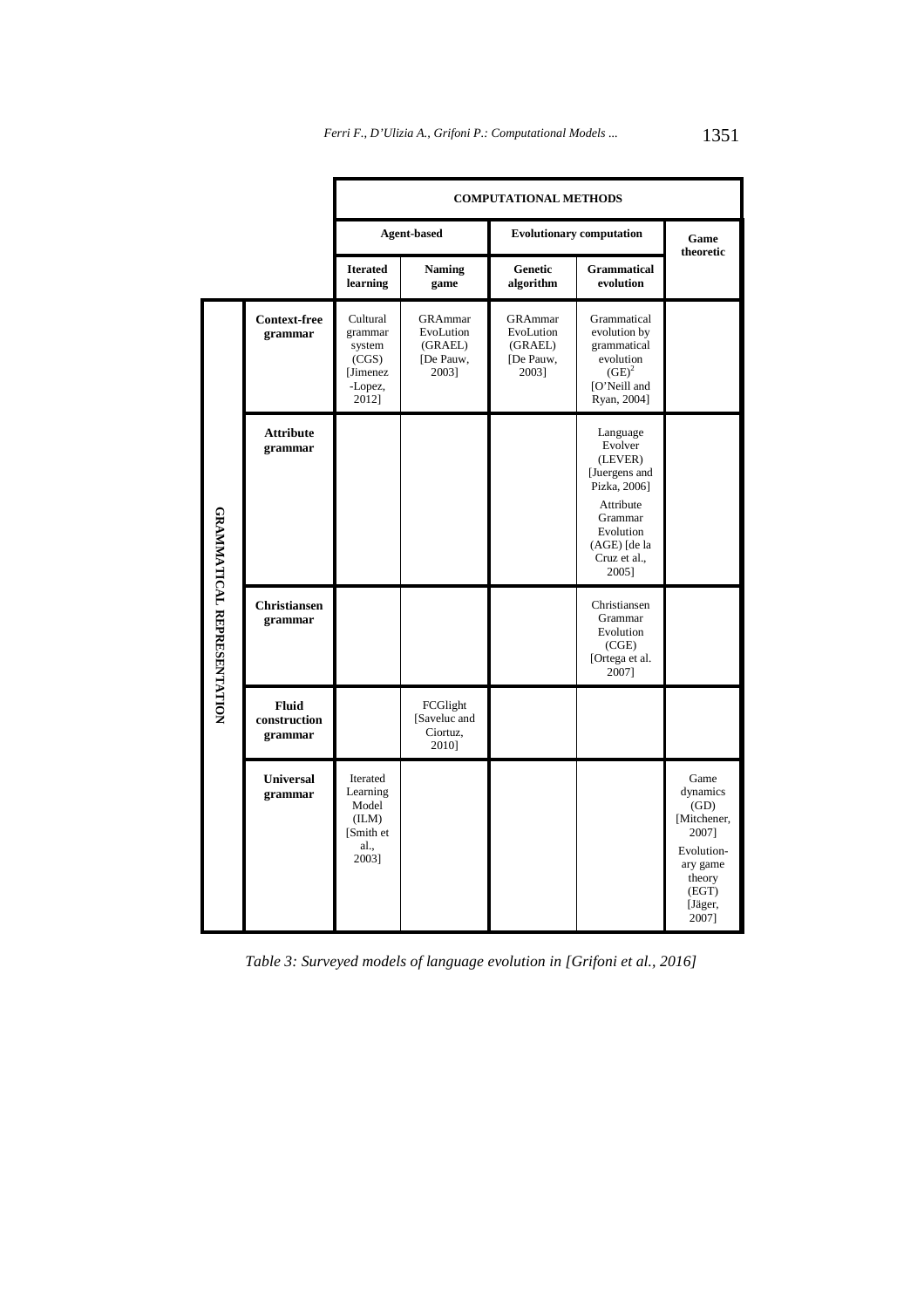|                                   |                                         | <b>COMPUTATIONAL METHODS</b>                                            |                                                       |                                                              |                                                                                                                                               |                                                                                                                   |  |
|-----------------------------------|-----------------------------------------|-------------------------------------------------------------------------|-------------------------------------------------------|--------------------------------------------------------------|-----------------------------------------------------------------------------------------------------------------------------------------------|-------------------------------------------------------------------------------------------------------------------|--|
|                                   |                                         | <b>Agent-based</b>                                                      |                                                       | <b>Evolutionary computation</b>                              |                                                                                                                                               | Game<br>theoretic                                                                                                 |  |
|                                   |                                         | <b>Iterated</b><br>learning                                             | <b>Naming</b><br>game                                 | Genetic<br>algorithm                                         | <b>Grammatical</b><br>evolution                                                                                                               |                                                                                                                   |  |
| <b>GRAMMATICAL REPRESENTATION</b> | <b>Context-free</b><br>grammar          | Cultural<br>grammar<br>system<br>(CGS)<br>[Jimenez]<br>-Lopez,<br>2012] | GRAmmar<br>EvoLution<br>(GRAEL)<br>[De Pauw,<br>2003] | <b>GRAmmar</b><br>EvoLution<br>(GRAEL)<br>[De Pauw,<br>2003] | Grammatical<br>evolution by<br>grammatical<br>evolution<br>$(GE)^2$<br>[O'Neill and<br>Ryan, 2004]                                            |                                                                                                                   |  |
|                                   | <b>Attribute</b><br>grammar             |                                                                         |                                                       |                                                              | Language<br>Evolver<br>(LEVER)<br>[Juergens and<br>Pizka, 2006]<br>Attribute<br>Grammar<br>Evolution<br>(AGE) [de la<br>Cruz et al.,<br>2005] |                                                                                                                   |  |
|                                   | <b>Christiansen</b><br>grammar          |                                                                         |                                                       |                                                              | Christiansen<br>Grammar<br>Evolution<br>(CGE)<br>[Ortega et al.<br>2007]                                                                      |                                                                                                                   |  |
|                                   | <b>Fluid</b><br>construction<br>grammar |                                                                         | FCGlight<br>[Saveluc and<br>Ciortuz,<br>2010]         |                                                              |                                                                                                                                               |                                                                                                                   |  |
|                                   | Universal<br>grammar                    | Iterated<br>Learning<br>Model<br>(ILM)<br>[Smith et]<br>al.,<br>2003]   |                                                       |                                                              |                                                                                                                                               | Game<br>dynamics<br>(GD)<br>[Mitchener,<br>2007]<br>Evolution-<br>ary game<br>theory<br>(EGT)<br>[Jäger,<br>2007] |  |

*Table 3: Surveyed models of language evolution in [Grifoni et al., 2016]*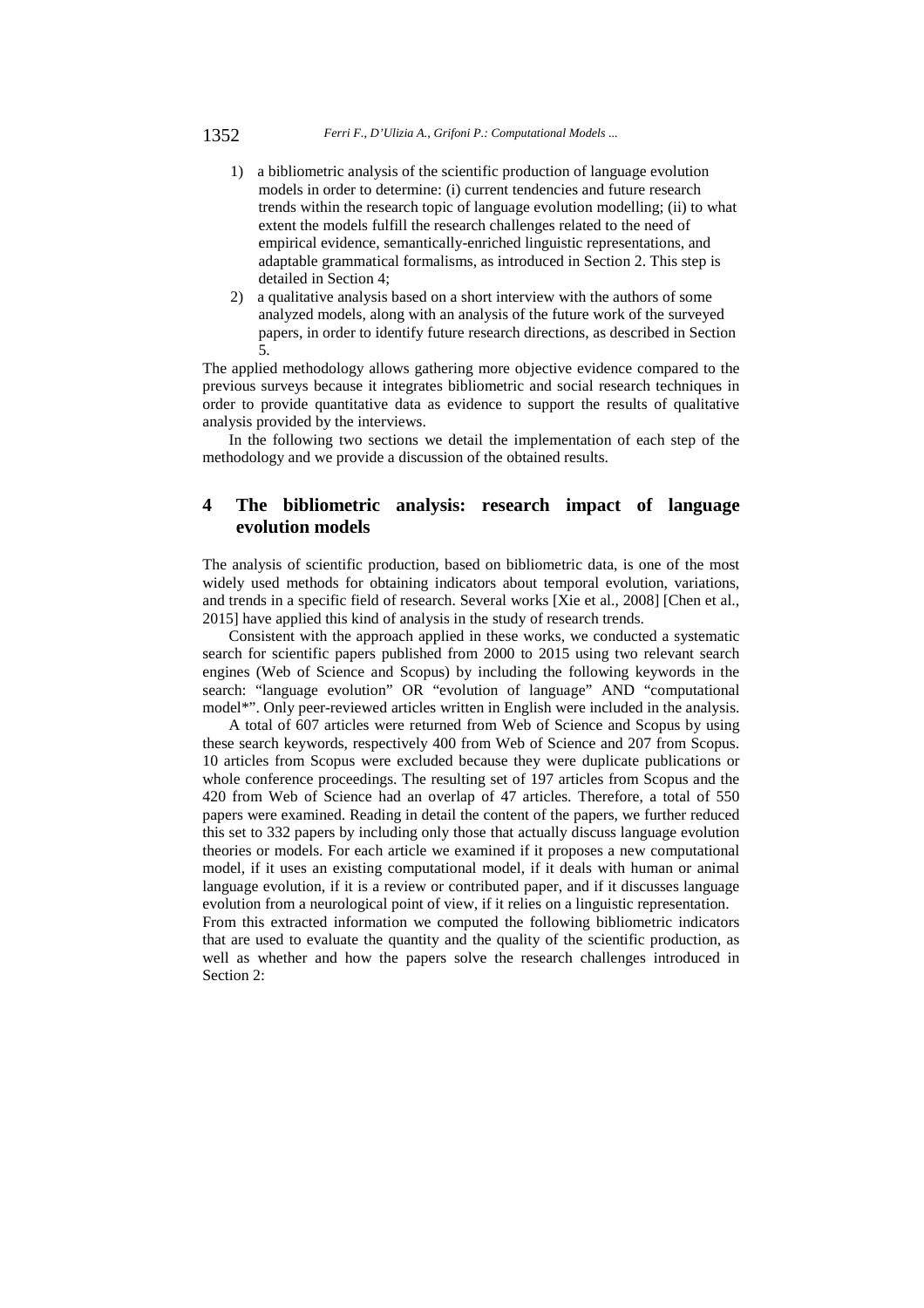- 1) a bibliometric analysis of the scientific production of language evolution models in order to determine: (i) current tendencies and future research trends within the research topic of language evolution modelling; (ii) to what extent the models fulfill the research challenges related to the need of empirical evidence, semantically-enriched linguistic representations, and adaptable grammatical formalisms, as introduced in Section 2. This step is detailed in Section 4;
- 2) a qualitative analysis based on a short interview with the authors of some analyzed models, along with an analysis of the future work of the surveyed papers, in order to identify future research directions, as described in Section 5.

The applied methodology allows gathering more objective evidence compared to the previous surveys because it integrates bibliometric and social research techniques in order to provide quantitative data as evidence to support the results of qualitative analysis provided by the interviews.

In the following two sections we detail the implementation of each step of the methodology and we provide a discussion of the obtained results.

## **4 The bibliometric analysis: research impact of language evolution models**

The analysis of scientific production, based on bibliometric data, is one of the most widely used methods for obtaining indicators about temporal evolution, variations, and trends in a specific field of research. Several works [Xie et al., 2008] [Chen et al., 2015] have applied this kind of analysis in the study of research trends.

Consistent with the approach applied in these works, we conducted a systematic search for scientific papers published from 2000 to 2015 using two relevant search engines (Web of Science and Scopus) by including the following keywords in the search: "language evolution" OR "evolution of language" AND "computational model\*". Only peer-reviewed articles written in English were included in the analysis.

A total of 607 articles were returned from Web of Science and Scopus by using these search keywords, respectively 400 from Web of Science and 207 from Scopus. 10 articles from Scopus were excluded because they were duplicate publications or whole conference proceedings. The resulting set of 197 articles from Scopus and the 420 from Web of Science had an overlap of 47 articles. Therefore, a total of 550 papers were examined. Reading in detail the content of the papers, we further reduced this set to 332 papers by including only those that actually discuss language evolution theories or models. For each article we examined if it proposes a new computational model, if it uses an existing computational model, if it deals with human or animal language evolution, if it is a review or contributed paper, and if it discusses language evolution from a neurological point of view, if it relies on a linguistic representation.

From this extracted information we computed the following bibliometric indicators that are used to evaluate the quantity and the quality of the scientific production, as well as whether and how the papers solve the research challenges introduced in Section 2: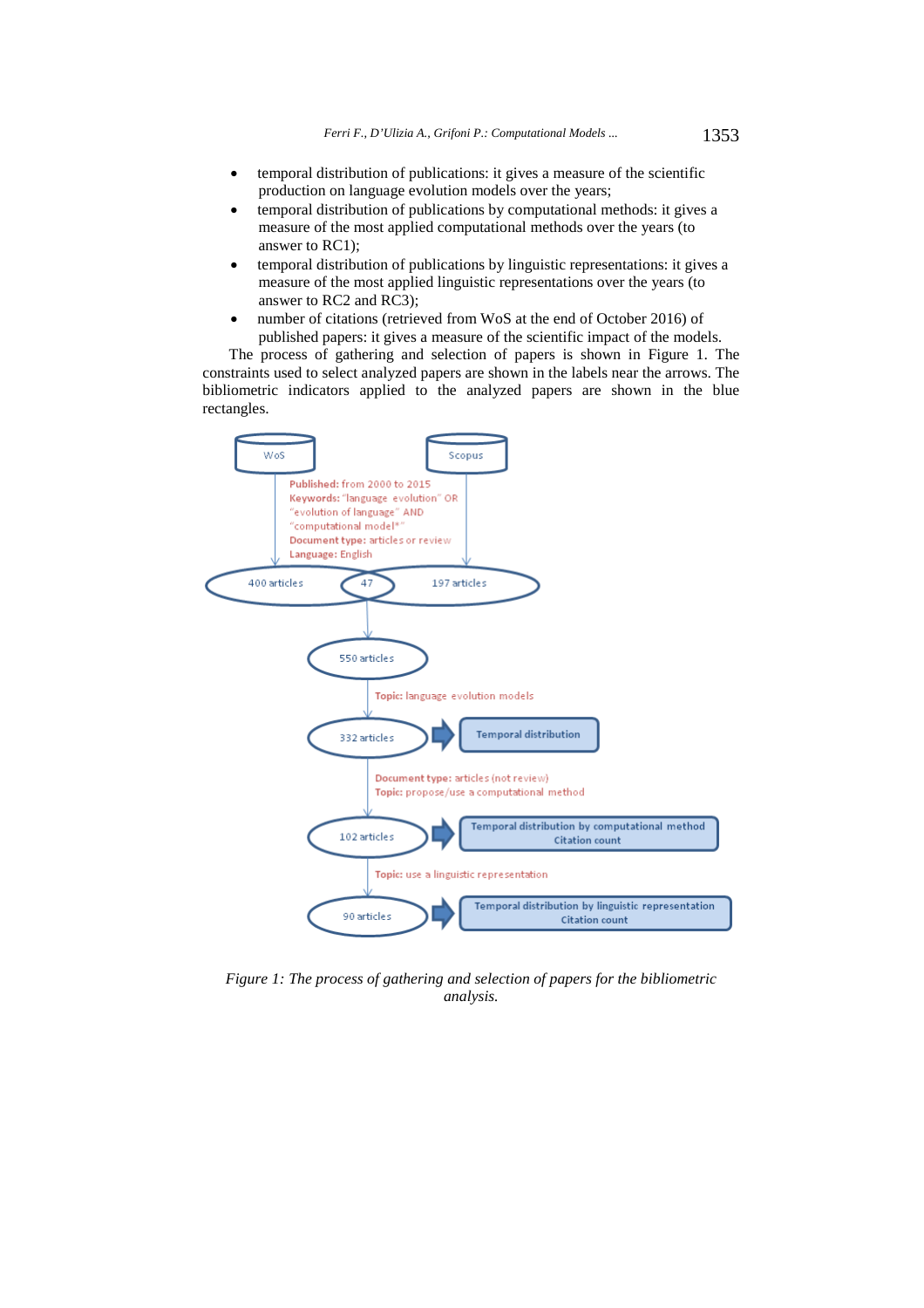- temporal distribution of publications: it gives a measure of the scientific production on language evolution models over the years;
- temporal distribution of publications by computational methods: it gives a measure of the most applied computational methods over the years (to answer to RC1);
- temporal distribution of publications by linguistic representations: it gives a measure of the most applied linguistic representations over the years (to answer to RC2 and RC3);
- number of citations (retrieved from WoS at the end of October 2016) of published papers: it gives a measure of the scientific impact of the models.

The process of gathering and selection of papers is shown in Figure 1. The constraints used to select analyzed papers are shown in the labels near the arrows. The bibliometric indicators applied to the analyzed papers are shown in the blue rectangles.



*Figure 1: The process of gathering and selection of papers for the bibliometric analysis.*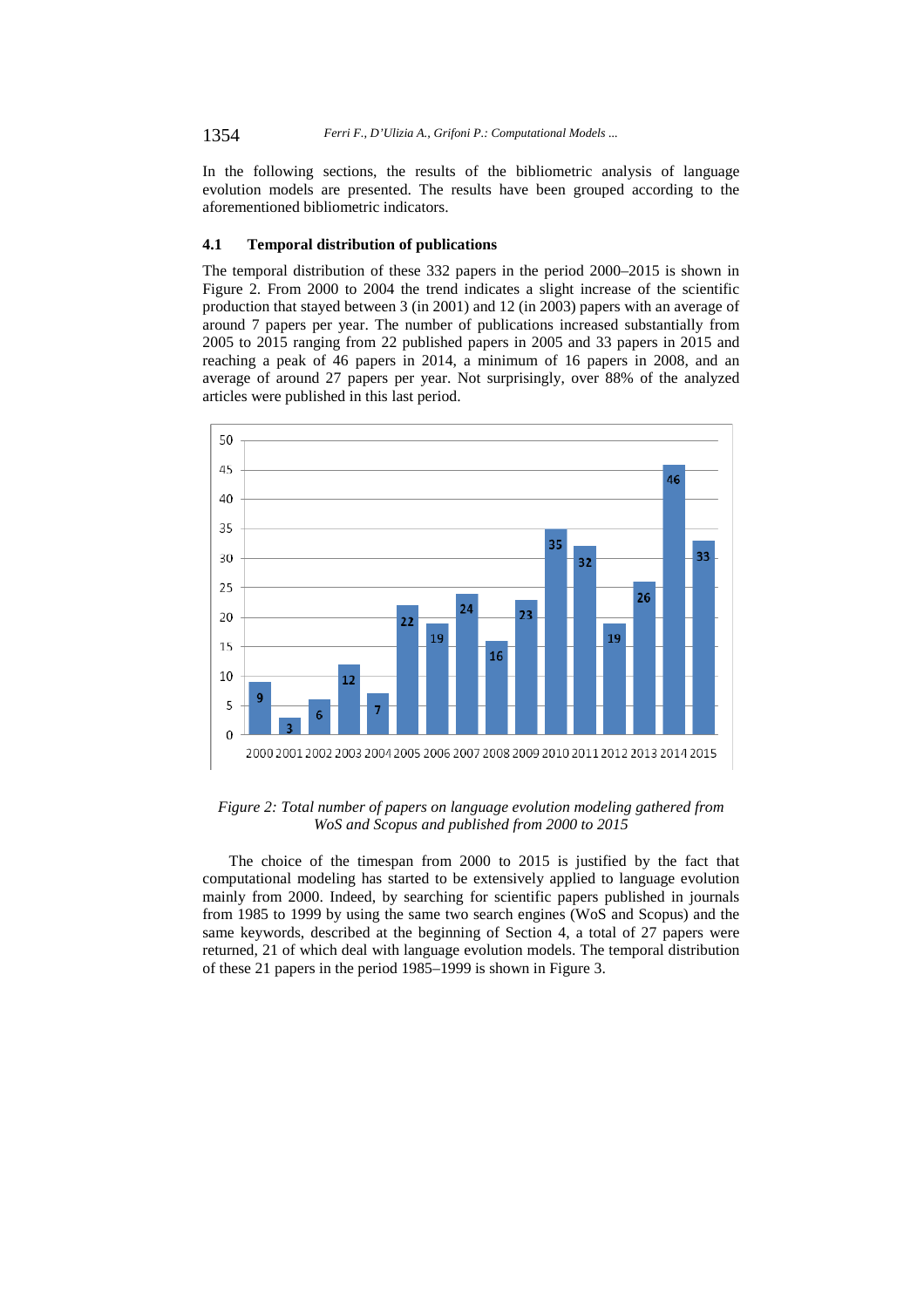In the following sections, the results of the bibliometric analysis of language evolution models are presented. The results have been grouped according to the aforementioned bibliometric indicators.

#### **4.1 Temporal distribution of publications**

The temporal distribution of these 332 papers in the period 2000–2015 is shown in Figure 2. From 2000 to 2004 the trend indicates a slight increase of the scientific production that stayed between 3 (in 2001) and 12 (in 2003) papers with an average of around 7 papers per year. The number of publications increased substantially from 2005 to 2015 ranging from 22 published papers in 2005 and 33 papers in 2015 and reaching a peak of 46 papers in 2014, a minimum of 16 papers in 2008, and an average of around 27 papers per year. Not surprisingly, over 88% of the analyzed articles were published in this last period.



*Figure 2: Total number of papers on language evolution modeling gathered from WoS and Scopus and published from 2000 to 2015* 

The choice of the timespan from 2000 to 2015 is justified by the fact that computational modeling has started to be extensively applied to language evolution mainly from 2000. Indeed, by searching for scientific papers published in journals from 1985 to 1999 by using the same two search engines (WoS and Scopus) and the same keywords, described at the beginning of Section 4, a total of 27 papers were returned, 21 of which deal with language evolution models. The temporal distribution of these 21 papers in the period 1985–1999 is shown in Figure 3.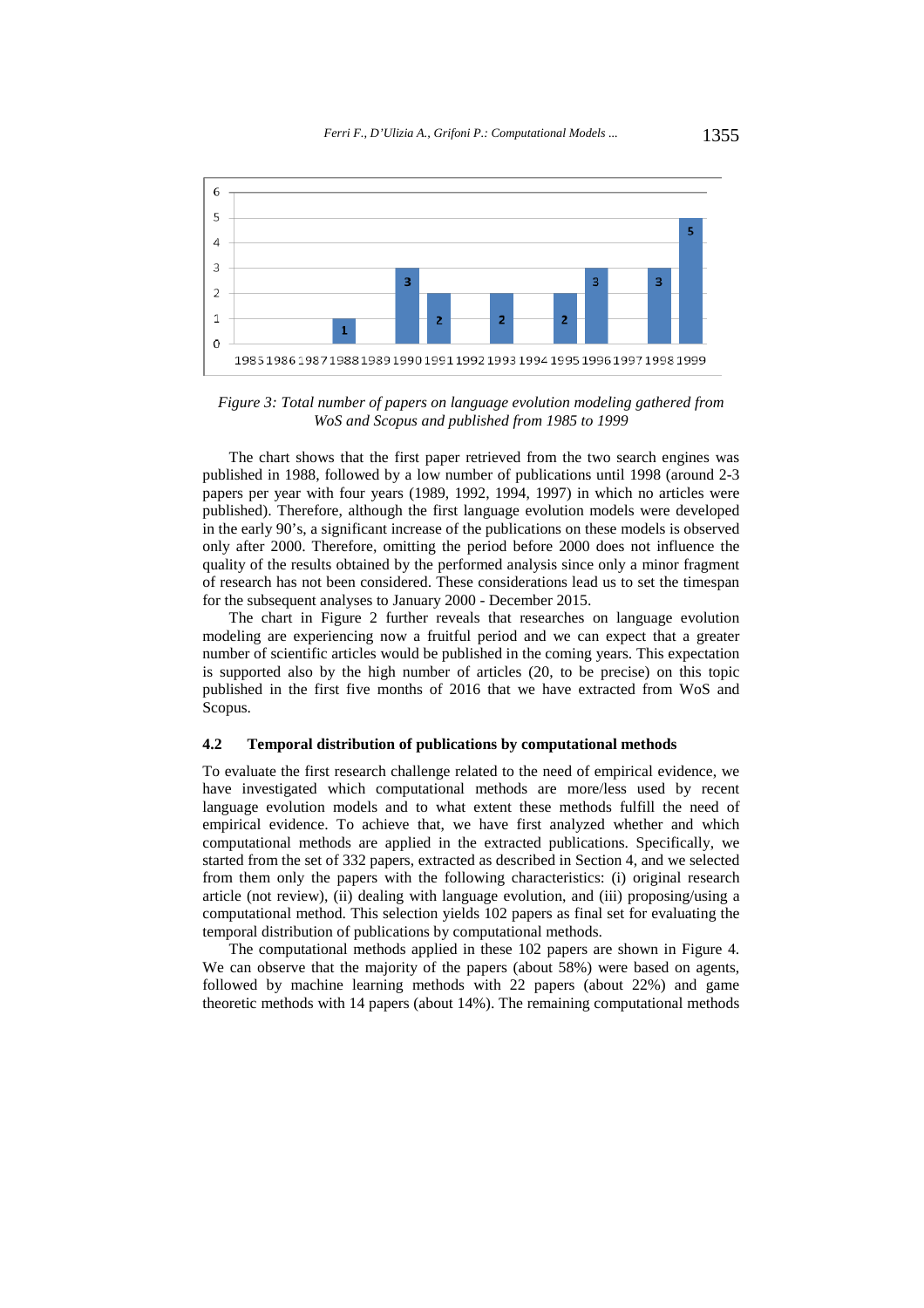

*Figure 3: Total number of papers on language evolution modeling gathered from WoS and Scopus and published from 1985 to 1999* 

The chart shows that the first paper retrieved from the two search engines was published in 1988, followed by a low number of publications until 1998 (around 2-3 papers per year with four years (1989, 1992, 1994, 1997) in which no articles were published). Therefore, although the first language evolution models were developed in the early 90's, a significant increase of the publications on these models is observed only after 2000. Therefore, omitting the period before 2000 does not influence the quality of the results obtained by the performed analysis since only a minor fragment of research has not been considered. These considerations lead us to set the timespan for the subsequent analyses to January 2000 - December 2015.

The chart in Figure 2 further reveals that researches on language evolution modeling are experiencing now a fruitful period and we can expect that a greater number of scientific articles would be published in the coming years. This expectation is supported also by the high number of articles (20, to be precise) on this topic published in the first five months of 2016 that we have extracted from WoS and Scopus.

#### **4.2 Temporal distribution of publications by computational methods**

To evaluate the first research challenge related to the need of empirical evidence, we have investigated which computational methods are more/less used by recent language evolution models and to what extent these methods fulfill the need of empirical evidence. To achieve that, we have first analyzed whether and which computational methods are applied in the extracted publications. Specifically, we started from the set of 332 papers, extracted as described in Section 4, and we selected from them only the papers with the following characteristics: (i) original research article (not review), (ii) dealing with language evolution, and (iii) proposing/using a computational method. This selection yields 102 papers as final set for evaluating the temporal distribution of publications by computational methods.

The computational methods applied in these 102 papers are shown in Figure 4. We can observe that the majority of the papers (about 58%) were based on agents, followed by machine learning methods with 22 papers (about 22%) and game theoretic methods with 14 papers (about 14%). The remaining computational methods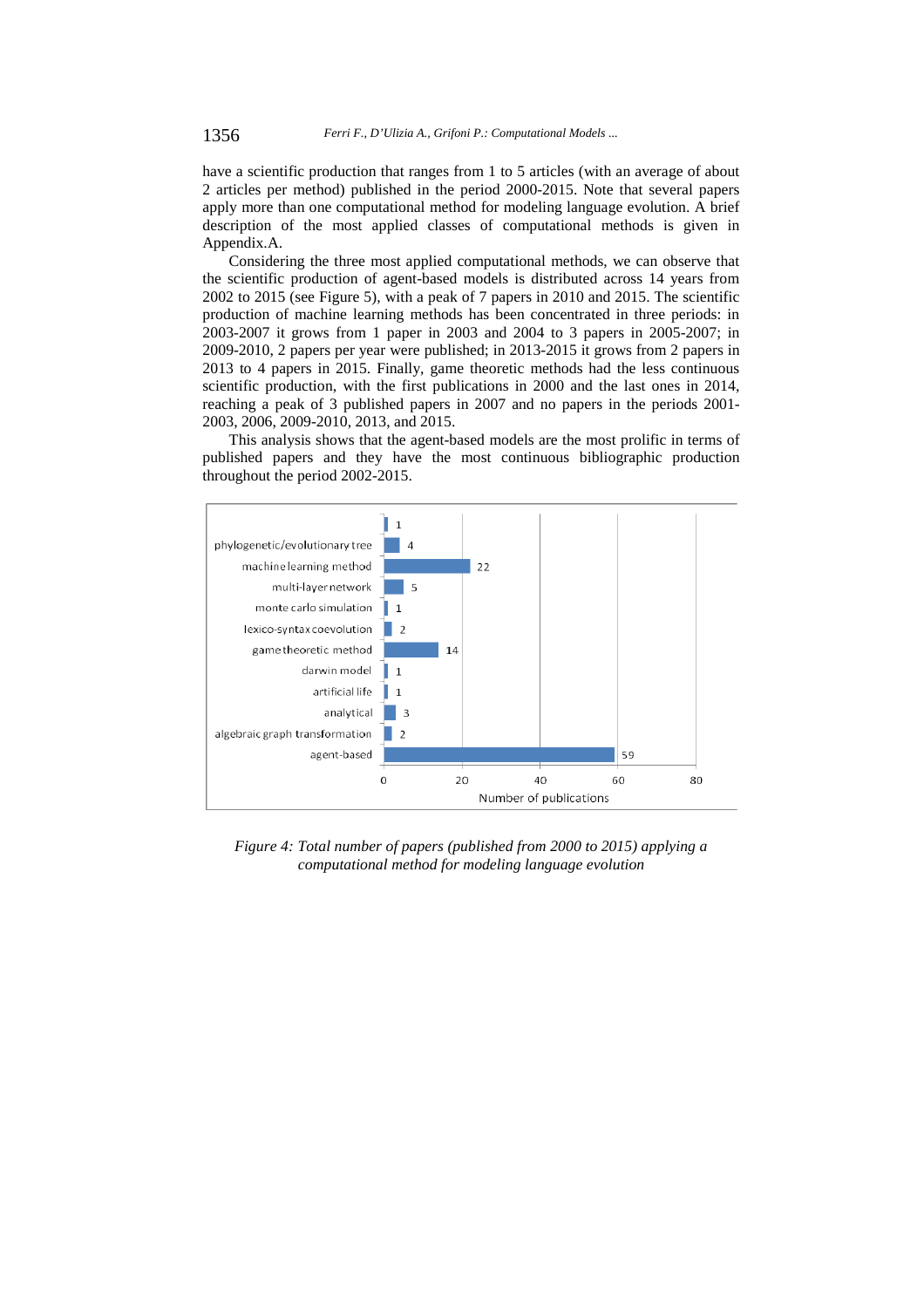have a scientific production that ranges from 1 to 5 articles (with an average of about 2 articles per method) published in the period 2000-2015. Note that several papers apply more than one computational method for modeling language evolution. A brief description of the most applied classes of computational methods is given in Appendix.A.

Considering the three most applied computational methods, we can observe that the scientific production of agent-based models is distributed across 14 years from 2002 to 2015 (see Figure 5), with a peak of 7 papers in 2010 and 2015. The scientific production of machine learning methods has been concentrated in three periods: in 2003-2007 it grows from 1 paper in 2003 and 2004 to 3 papers in 2005-2007; in 2009-2010, 2 papers per year were published; in 2013-2015 it grows from 2 papers in 2013 to 4 papers in 2015. Finally, game theoretic methods had the less continuous scientific production, with the first publications in 2000 and the last ones in 2014, reaching a peak of 3 published papers in 2007 and no papers in the periods 2001- 2003, 2006, 2009-2010, 2013, and 2015.

This analysis shows that the agent-based models are the most prolific in terms of published papers and they have the most continuous bibliographic production throughout the period 2002-2015.



*Figure 4: Total number of papers (published from 2000 to 2015) applying a computational method for modeling language evolution*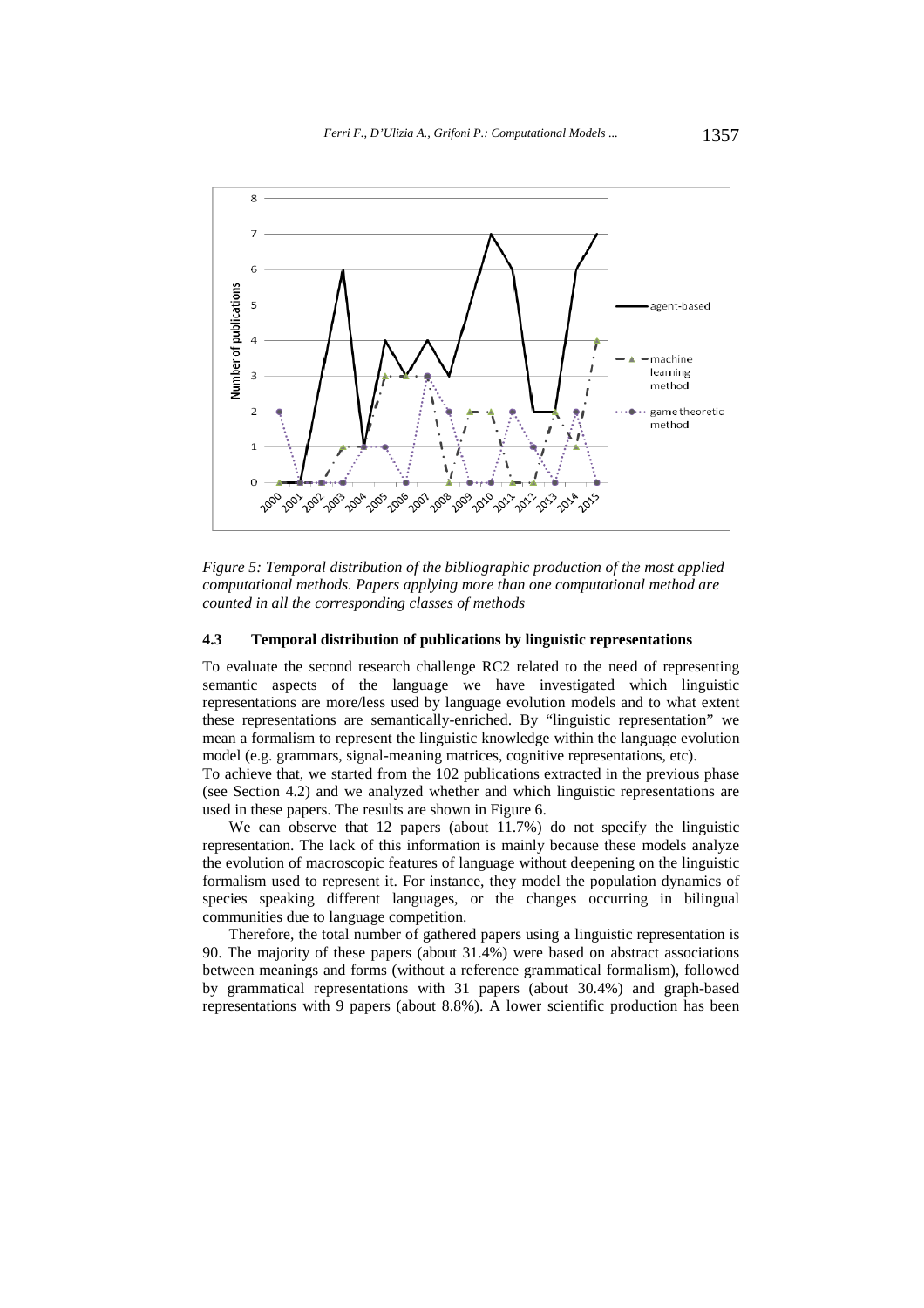

*Figure 5: Temporal distribution of the bibliographic production of the most applied computational methods. Papers applying more than one computational method are counted in all the corresponding classes of methods* 

#### **4.3 Temporal distribution of publications by linguistic representations**

To evaluate the second research challenge RC2 related to the need of representing semantic aspects of the language we have investigated which linguistic representations are more/less used by language evolution models and to what extent these representations are semantically-enriched. By "linguistic representation" we mean a formalism to represent the linguistic knowledge within the language evolution model (e.g. grammars, signal-meaning matrices, cognitive representations, etc).

To achieve that, we started from the 102 publications extracted in the previous phase (see Section 4.2) and we analyzed whether and which linguistic representations are used in these papers. The results are shown in Figure 6.

We can observe that 12 papers (about 11.7%) do not specify the linguistic representation. The lack of this information is mainly because these models analyze the evolution of macroscopic features of language without deepening on the linguistic formalism used to represent it. For instance, they model the population dynamics of species speaking different languages, or the changes occurring in bilingual communities due to language competition.

Therefore, the total number of gathered papers using a linguistic representation is 90. The majority of these papers (about 31.4%) were based on abstract associations between meanings and forms (without a reference grammatical formalism), followed by grammatical representations with 31 papers (about 30.4%) and graph-based representations with 9 papers (about 8.8%). A lower scientific production has been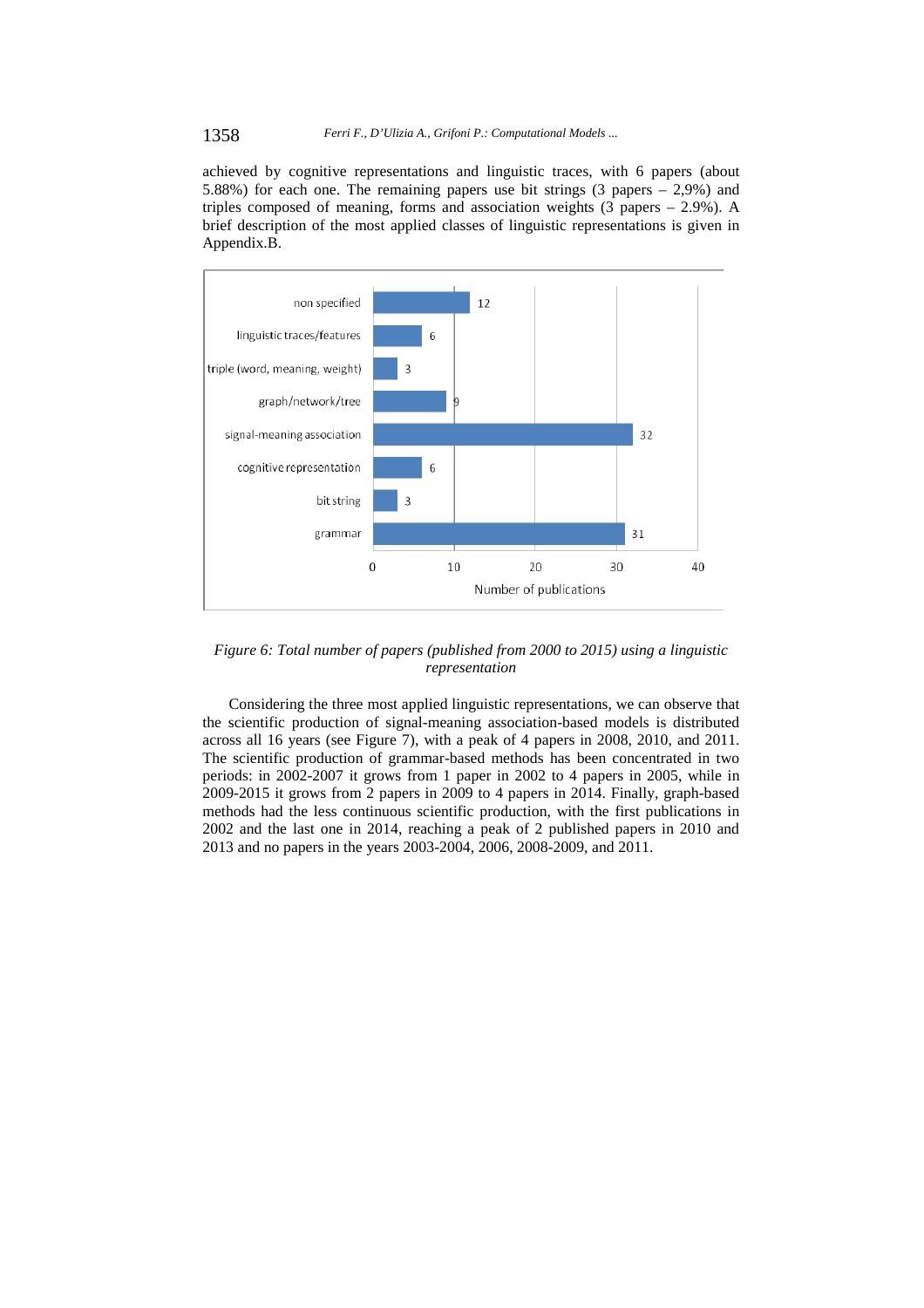#### 1358 *Ferri F., D'Ulizia A., Grifoni P.: Computational Models ...*

achieved by cognitive representations and linguistic traces, with 6 papers (about 5.88%) for each one. The remaining papers use bit strings (3 papers – 2,9%) and triples composed of meaning, forms and association weights (3 papers – 2.9%). A brief description of the most applied classes of linguistic representations is given in Appendix.B.



*Figure 6: Total number of papers (published from 2000 to 2015) using a linguistic representation* 

Considering the three most applied linguistic representations, we can observe that the scientific production of signal-meaning association-based models is distributed across all 16 years (see Figure 7), with a peak of 4 papers in 2008, 2010, and 2011. The scientific production of grammar-based methods has been concentrated in two periods: in 2002-2007 it grows from 1 paper in 2002 to 4 papers in 2005, while in 2009-2015 it grows from 2 papers in 2009 to 4 papers in 2014. Finally, graph-based methods had the less continuous scientific production, with the first publications in 2002 and the last one in 2014, reaching a peak of 2 published papers in 2010 and 2013 and no papers in the years 2003-2004, 2006, 2008-2009, and 2011.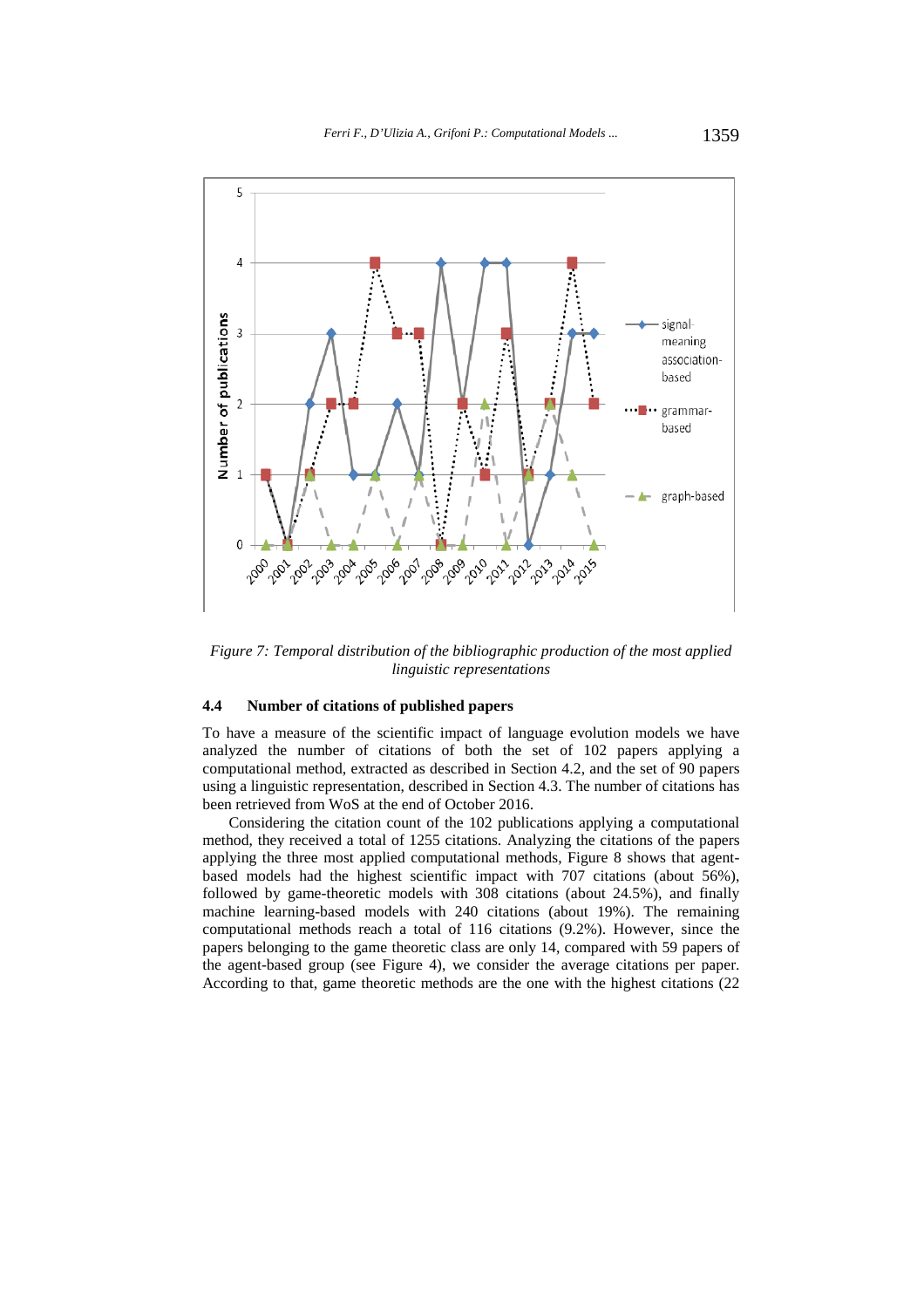

*Figure 7: Temporal distribution of the bibliographic production of the most applied linguistic representations* 

#### **4.4 Number of citations of published papers**

To have a measure of the scientific impact of language evolution models we have analyzed the number of citations of both the set of 102 papers applying a computational method, extracted as described in Section 4.2, and the set of 90 papers using a linguistic representation, described in Section 4.3. The number of citations has been retrieved from WoS at the end of October 2016.

Considering the citation count of the 102 publications applying a computational method, they received a total of 1255 citations. Analyzing the citations of the papers applying the three most applied computational methods, Figure 8 shows that agentbased models had the highest scientific impact with 707 citations (about 56%), followed by game-theoretic models with 308 citations (about 24.5%), and finally machine learning-based models with 240 citations (about 19%). The remaining computational methods reach a total of 116 citations (9.2%). However, since the papers belonging to the game theoretic class are only 14, compared with 59 papers of the agent-based group (see Figure 4), we consider the average citations per paper. According to that, game theoretic methods are the one with the highest citations (22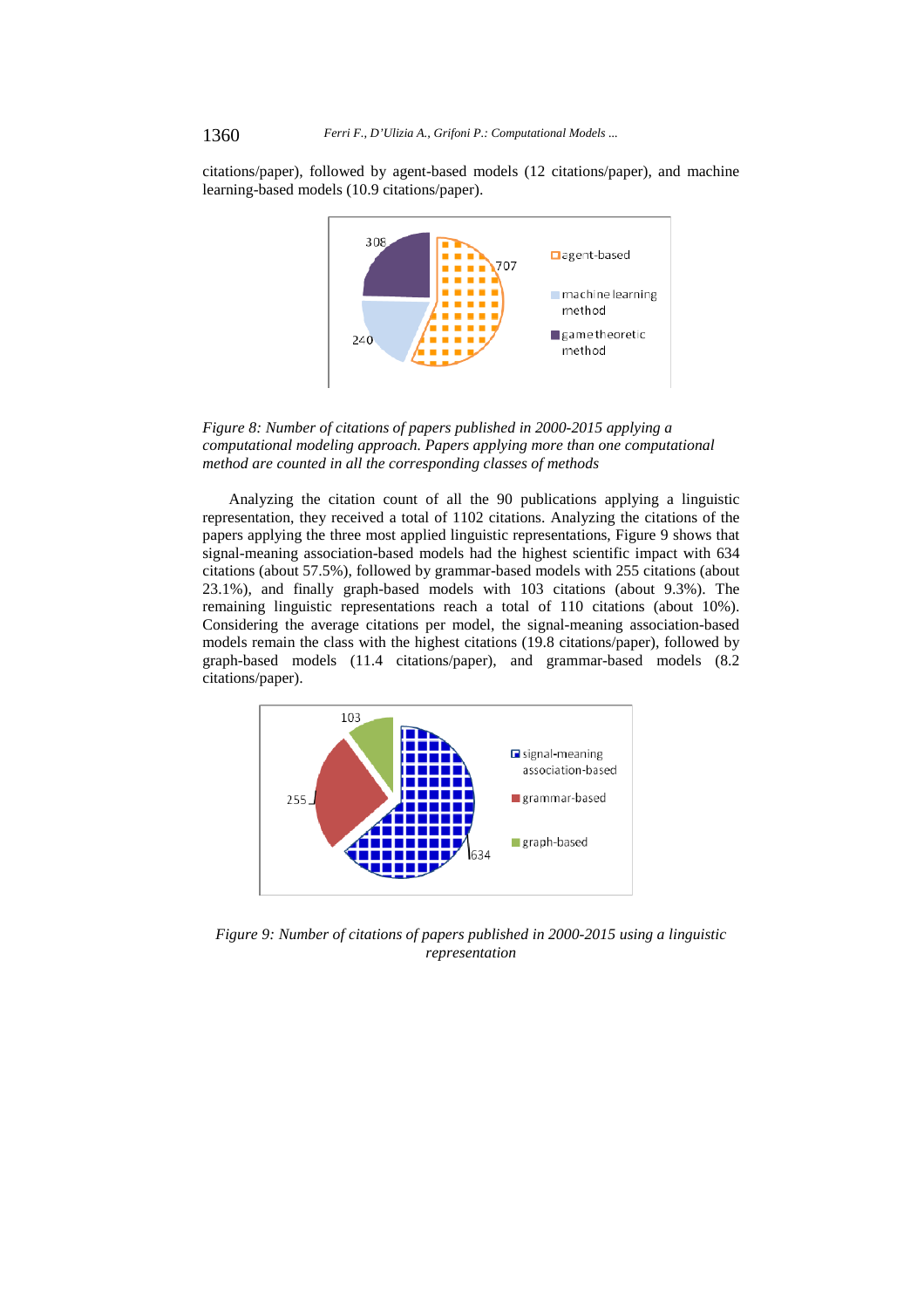citations/paper), followed by agent-based models (12 citations/paper), and machine learning-based models (10.9 citations/paper).



*Figure 8: Number of citations of papers published in 2000-2015 applying a computational modeling approach. Papers applying more than one computational method are counted in all the corresponding classes of methods* 

Analyzing the citation count of all the 90 publications applying a linguistic representation, they received a total of 1102 citations. Analyzing the citations of the papers applying the three most applied linguistic representations, Figure 9 shows that signal-meaning association-based models had the highest scientific impact with 634 citations (about 57.5%), followed by grammar-based models with 255 citations (about 23.1%), and finally graph-based models with 103 citations (about 9.3%). The remaining linguistic representations reach a total of 110 citations (about 10%). Considering the average citations per model, the signal-meaning association-based models remain the class with the highest citations (19.8 citations/paper), followed by graph-based models (11.4 citations/paper), and grammar-based models (8.2 citations/paper).



*Figure 9: Number of citations of papers published in 2000-2015 using a linguistic representation*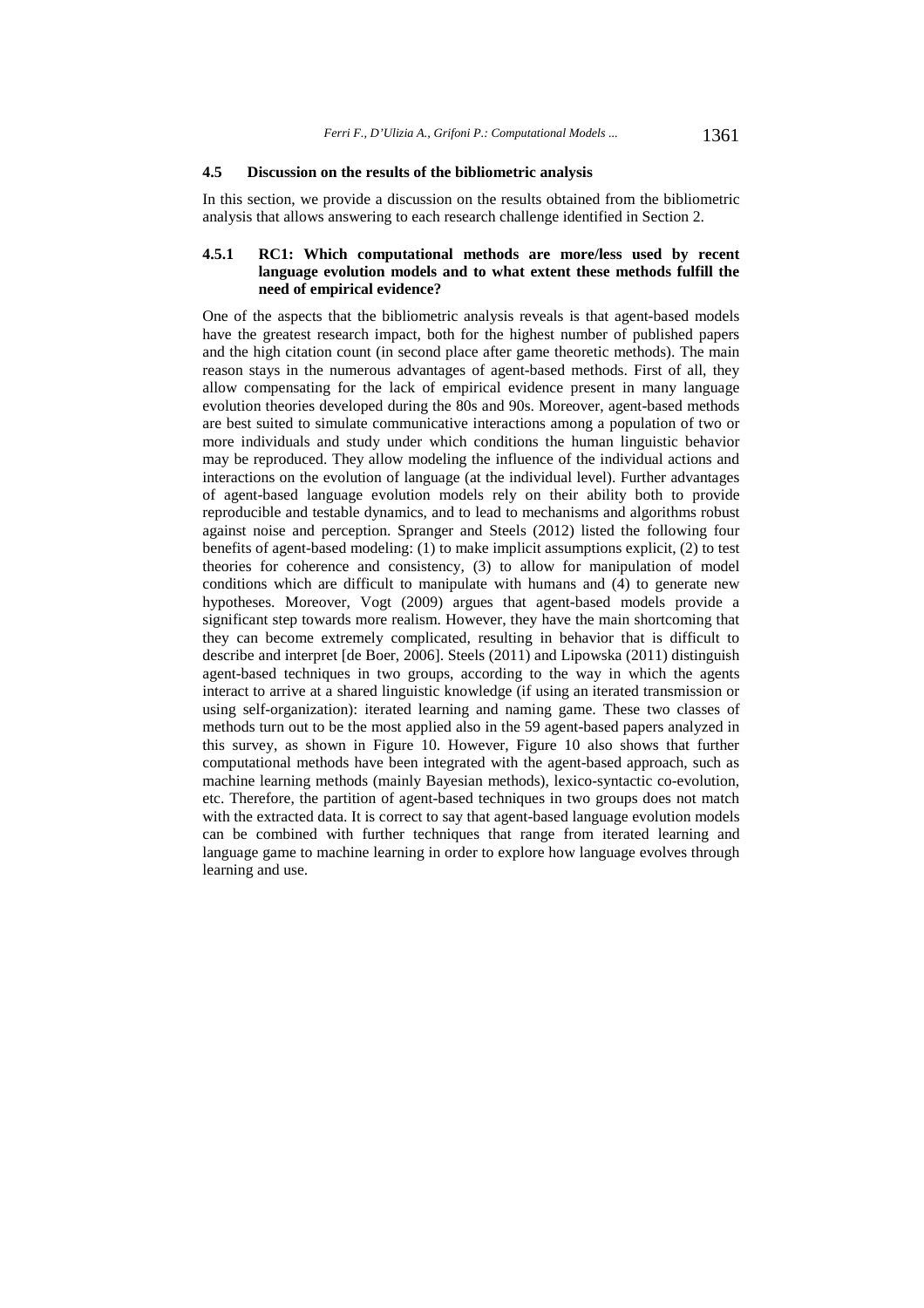#### **4.5 Discussion on the results of the bibliometric analysis**

In this section, we provide a discussion on the results obtained from the bibliometric analysis that allows answering to each research challenge identified in Section 2.

### **4.5.1 RC1: Which computational methods are more/less used by recent language evolution models and to what extent these methods fulfill the need of empirical evidence?**

One of the aspects that the bibliometric analysis reveals is that agent-based models have the greatest research impact, both for the highest number of published papers and the high citation count (in second place after game theoretic methods). The main reason stays in the numerous advantages of agent-based methods. First of all, they allow compensating for the lack of empirical evidence present in many language evolution theories developed during the 80s and 90s. Moreover, agent-based methods are best suited to simulate communicative interactions among a population of two or more individuals and study under which conditions the human linguistic behavior may be reproduced. They allow modeling the influence of the individual actions and interactions on the evolution of language (at the individual level). Further advantages of agent-based language evolution models rely on their ability both to provide reproducible and testable dynamics, and to lead to mechanisms and algorithms robust against noise and perception. Spranger and Steels (2012) listed the following four benefits of agent-based modeling: (1) to make implicit assumptions explicit, (2) to test theories for coherence and consistency, (3) to allow for manipulation of model conditions which are difficult to manipulate with humans and  $(\overline{4})$  to generate new hypotheses. Moreover, Vogt (2009) argues that agent-based models provide a significant step towards more realism. However, they have the main shortcoming that they can become extremely complicated, resulting in behavior that is difficult to describe and interpret [de Boer, 2006]. Steels (2011) and Lipowska (2011) distinguish agent-based techniques in two groups, according to the way in which the agents interact to arrive at a shared linguistic knowledge (if using an iterated transmission or using self-organization): iterated learning and naming game. These two classes of methods turn out to be the most applied also in the 59 agent-based papers analyzed in this survey, as shown in Figure 10. However, Figure 10 also shows that further computational methods have been integrated with the agent-based approach, such as machine learning methods (mainly Bayesian methods), lexico-syntactic co-evolution, etc. Therefore, the partition of agent-based techniques in two groups does not match with the extracted data. It is correct to say that agent-based language evolution models can be combined with further techniques that range from iterated learning and language game to machine learning in order to explore how language evolves through learning and use.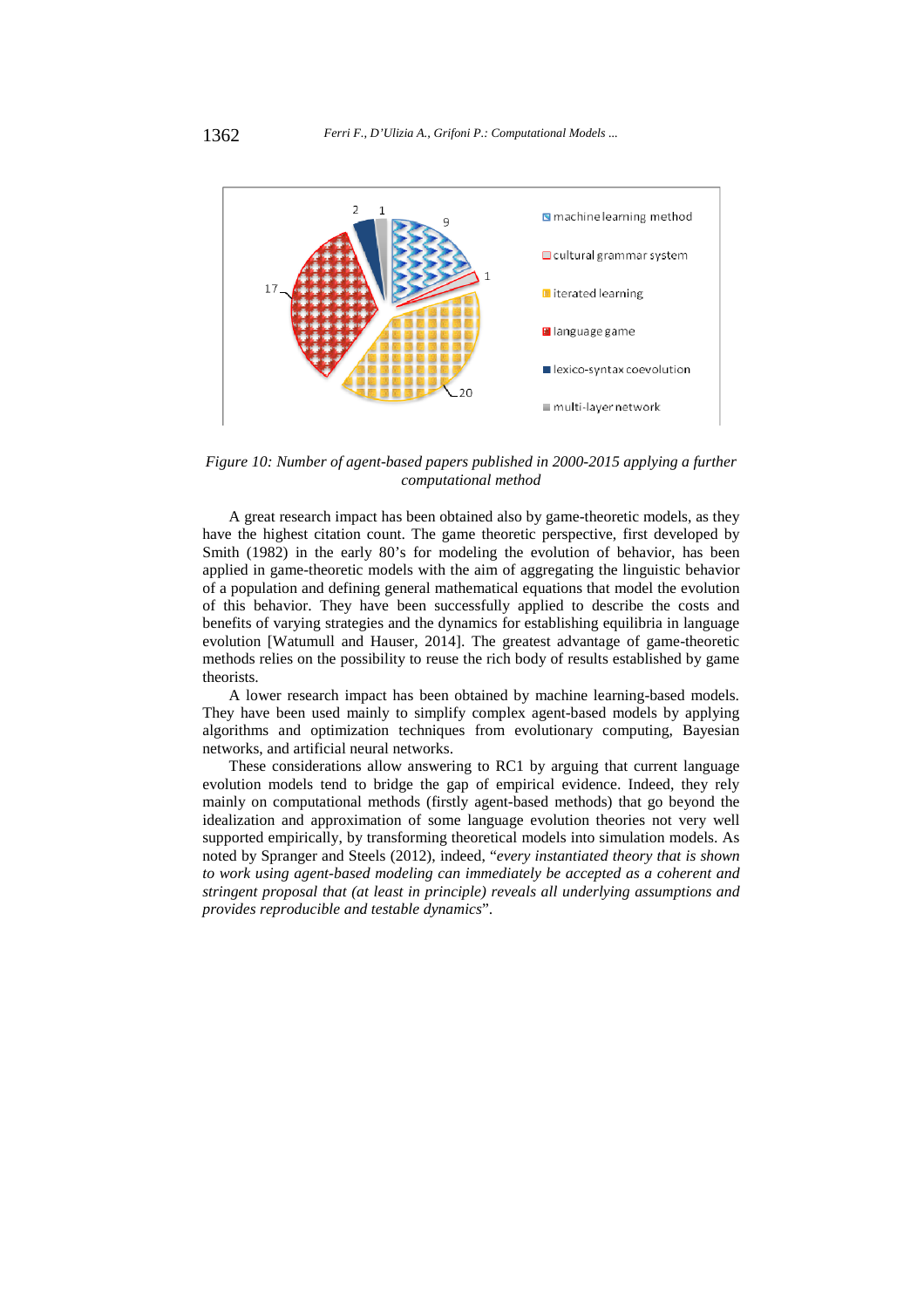

*Figure 10: Number of agent-based papers published in 2000-2015 applying a further computational method* 

A great research impact has been obtained also by game-theoretic models, as they have the highest citation count. The game theoretic perspective, first developed by Smith (1982) in the early 80's for modeling the evolution of behavior, has been applied in game-theoretic models with the aim of aggregating the linguistic behavior of a population and defining general mathematical equations that model the evolution of this behavior. They have been successfully applied to describe the costs and benefits of varying strategies and the dynamics for establishing equilibria in language evolution [Watumull and Hauser, 2014]. The greatest advantage of game-theoretic methods relies on the possibility to reuse the rich body of results established by game theorists.

A lower research impact has been obtained by machine learning-based models. They have been used mainly to simplify complex agent-based models by applying algorithms and optimization techniques from evolutionary computing, Bayesian networks, and artificial neural networks.

These considerations allow answering to RC1 by arguing that current language evolution models tend to bridge the gap of empirical evidence. Indeed, they rely mainly on computational methods (firstly agent-based methods) that go beyond the idealization and approximation of some language evolution theories not very well supported empirically, by transforming theoretical models into simulation models. As noted by Spranger and Steels (2012), indeed, "*every instantiated theory that is shown to work using agent-based modeling can immediately be accepted as a coherent and stringent proposal that (at least in principle) reveals all underlying assumptions and provides reproducible and testable dynamics*".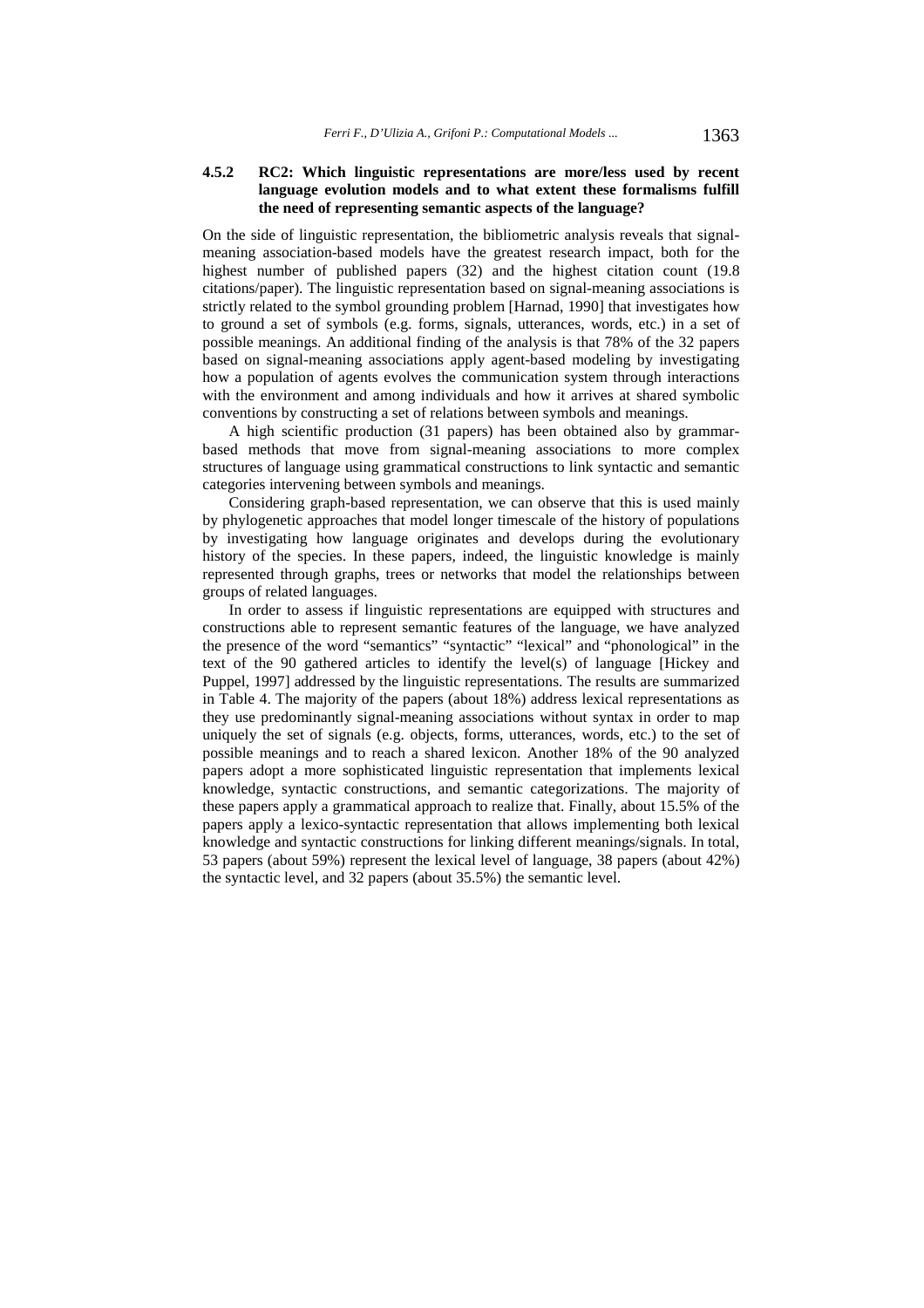#### **4.5.2 RC2: Which linguistic representations are more/less used by recent language evolution models and to what extent these formalisms fulfill the need of representing semantic aspects of the language?**

On the side of linguistic representation, the bibliometric analysis reveals that signalmeaning association-based models have the greatest research impact, both for the highest number of published papers (32) and the highest citation count (19.8 citations/paper). The linguistic representation based on signal-meaning associations is strictly related to the symbol grounding problem [Harnad, 1990] that investigates how to ground a set of symbols (e.g. forms, signals, utterances, words, etc.) in a set of possible meanings. An additional finding of the analysis is that 78% of the 32 papers based on signal-meaning associations apply agent-based modeling by investigating how a population of agents evolves the communication system through interactions with the environment and among individuals and how it arrives at shared symbolic conventions by constructing a set of relations between symbols and meanings.

A high scientific production (31 papers) has been obtained also by grammarbased methods that move from signal-meaning associations to more complex structures of language using grammatical constructions to link syntactic and semantic categories intervening between symbols and meanings.

Considering graph-based representation, we can observe that this is used mainly by phylogenetic approaches that model longer timescale of the history of populations by investigating how language originates and develops during the evolutionary history of the species. In these papers, indeed, the linguistic knowledge is mainly represented through graphs, trees or networks that model the relationships between groups of related languages.

In order to assess if linguistic representations are equipped with structures and constructions able to represent semantic features of the language, we have analyzed the presence of the word "semantics" "syntactic" "lexical" and "phonological" in the text of the 90 gathered articles to identify the level(s) of language [Hickey and Puppel, 1997] addressed by the linguistic representations. The results are summarized in Table 4. The majority of the papers (about 18%) address lexical representations as they use predominantly signal-meaning associations without syntax in order to map uniquely the set of signals (e.g. objects, forms, utterances, words, etc.) to the set of possible meanings and to reach a shared lexicon. Another 18% of the 90 analyzed papers adopt a more sophisticated linguistic representation that implements lexical knowledge, syntactic constructions, and semantic categorizations. The majority of these papers apply a grammatical approach to realize that. Finally, about 15.5% of the papers apply a lexico-syntactic representation that allows implementing both lexical knowledge and syntactic constructions for linking different meanings/signals. In total, 53 papers (about 59%) represent the lexical level of language, 38 papers (about 42%) the syntactic level, and 32 papers (about 35.5%) the semantic level.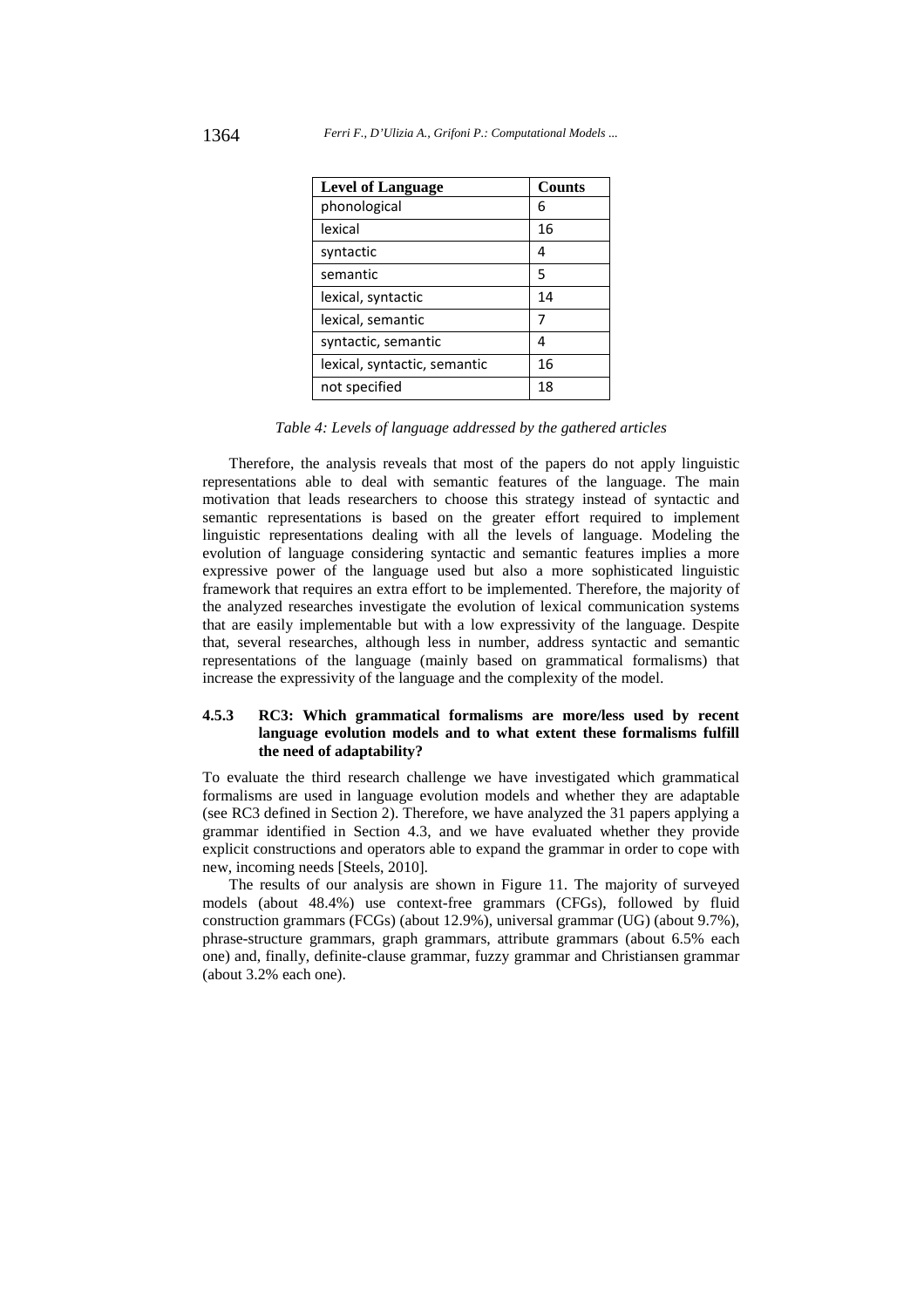| <b>Level of Language</b>     | <b>Counts</b> |
|------------------------------|---------------|
| phonological                 | 6             |
| lexical                      | 16            |
| syntactic                    | 4             |
| semantic                     | 5             |
| lexical, syntactic           | 14            |
| lexical, semantic            | 7             |
| syntactic, semantic          | 4             |
| lexical, syntactic, semantic | 16            |
| not specified                | 18            |

*Table 4: Levels of language addressed by the gathered articles* 

Therefore, the analysis reveals that most of the papers do not apply linguistic representations able to deal with semantic features of the language. The main motivation that leads researchers to choose this strategy instead of syntactic and semantic representations is based on the greater effort required to implement linguistic representations dealing with all the levels of language. Modeling the evolution of language considering syntactic and semantic features implies a more expressive power of the language used but also a more sophisticated linguistic framework that requires an extra effort to be implemented. Therefore, the majority of the analyzed researches investigate the evolution of lexical communication systems that are easily implementable but with a low expressivity of the language. Despite that, several researches, although less in number, address syntactic and semantic representations of the language (mainly based on grammatical formalisms) that increase the expressivity of the language and the complexity of the model.

#### **4.5.3 RC3: Which grammatical formalisms are more/less used by recent language evolution models and to what extent these formalisms fulfill the need of adaptability?**

To evaluate the third research challenge we have investigated which grammatical formalisms are used in language evolution models and whether they are adaptable (see RC3 defined in Section 2). Therefore, we have analyzed the 31 papers applying a grammar identified in Section 4.3, and we have evaluated whether they provide explicit constructions and operators able to expand the grammar in order to cope with new, incoming needs [Steels, 2010].

The results of our analysis are shown in Figure 11. The majority of surveyed models (about 48.4%) use context-free grammars (CFGs), followed by fluid construction grammars (FCGs) (about 12.9%), universal grammar (UG) (about 9.7%), phrase-structure grammars, graph grammars, attribute grammars (about 6.5% each one) and, finally, definite-clause grammar, fuzzy grammar and Christiansen grammar (about 3.2% each one).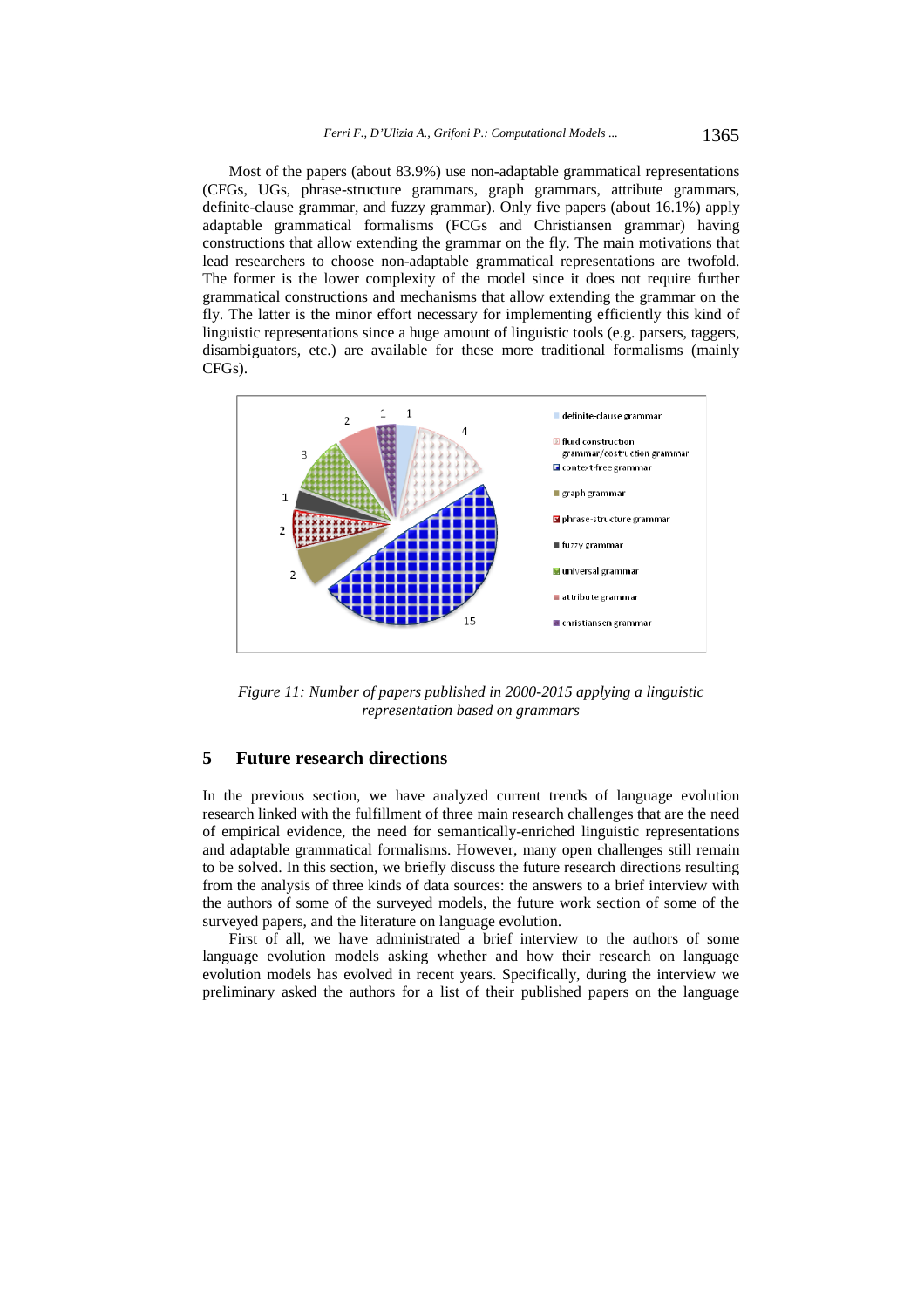Most of the papers (about 83.9%) use non-adaptable grammatical representations (CFGs, UGs, phrase-structure grammars, graph grammars, attribute grammars, definite-clause grammar, and fuzzy grammar). Only five papers (about 16.1%) apply adaptable grammatical formalisms (FCGs and Christiansen grammar) having constructions that allow extending the grammar on the fly. The main motivations that lead researchers to choose non-adaptable grammatical representations are twofold. The former is the lower complexity of the model since it does not require further grammatical constructions and mechanisms that allow extending the grammar on the fly. The latter is the minor effort necessary for implementing efficiently this kind of linguistic representations since a huge amount of linguistic tools (e.g. parsers, taggers, disambiguators, etc.) are available for these more traditional formalisms (mainly CFGs).



*Figure 11: Number of papers published in 2000-2015 applying a linguistic representation based on grammars* 

### **5 Future research directions**

In the previous section, we have analyzed current trends of language evolution research linked with the fulfillment of three main research challenges that are the need of empirical evidence, the need for semantically-enriched linguistic representations and adaptable grammatical formalisms. However, many open challenges still remain to be solved. In this section, we briefly discuss the future research directions resulting from the analysis of three kinds of data sources: the answers to a brief interview with the authors of some of the surveyed models, the future work section of some of the surveyed papers, and the literature on language evolution.

First of all, we have administrated a brief interview to the authors of some language evolution models asking whether and how their research on language evolution models has evolved in recent years. Specifically, during the interview we preliminary asked the authors for a list of their published papers on the language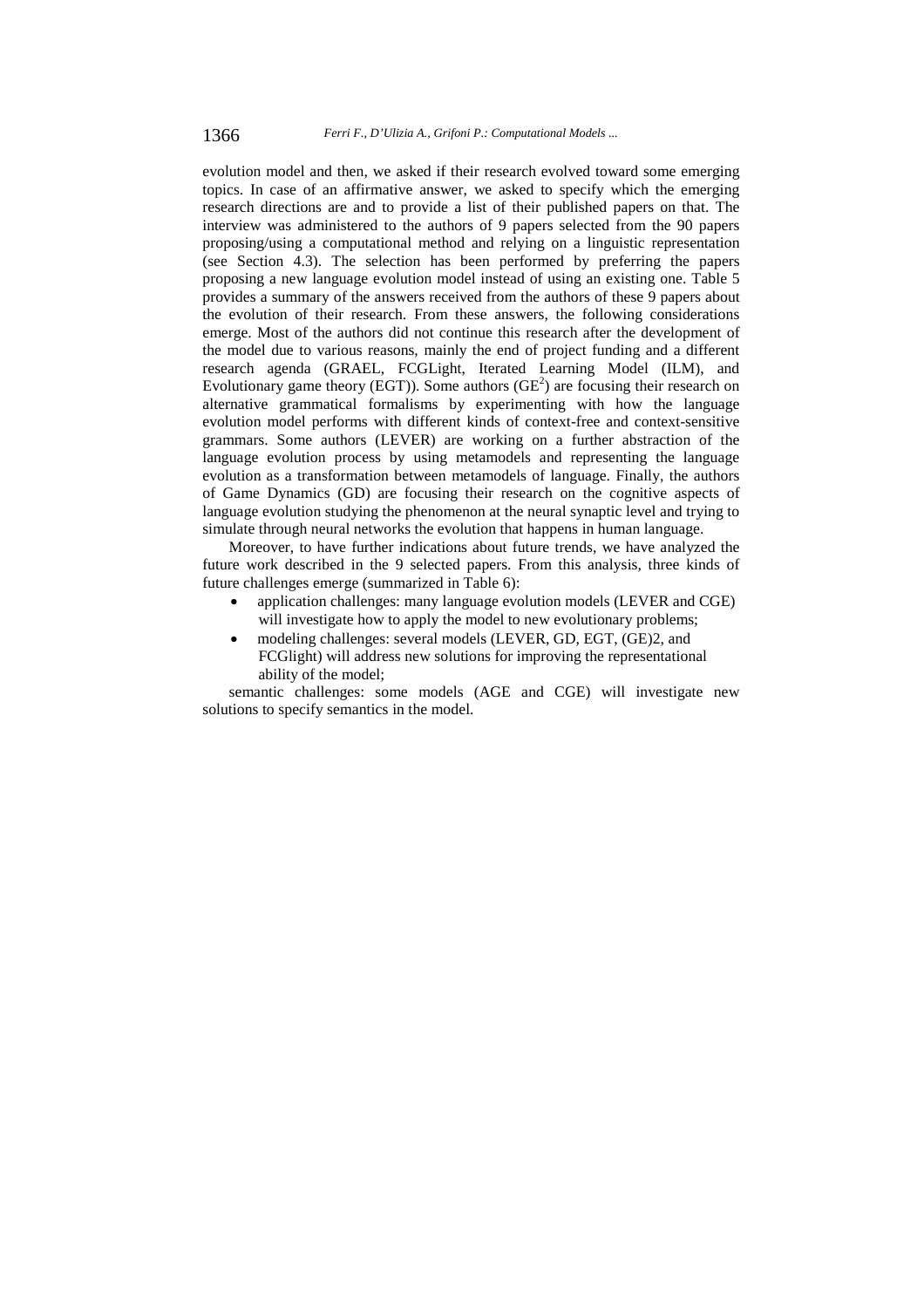evolution model and then, we asked if their research evolved toward some emerging topics. In case of an affirmative answer, we asked to specify which the emerging research directions are and to provide a list of their published papers on that. The interview was administered to the authors of 9 papers selected from the 90 papers proposing/using a computational method and relying on a linguistic representation (see Section 4.3). The selection has been performed by preferring the papers proposing a new language evolution model instead of using an existing one. Table 5 provides a summary of the answers received from the authors of these 9 papers about the evolution of their research. From these answers, the following considerations emerge. Most of the authors did not continue this research after the development of the model due to various reasons, mainly the end of project funding and a different research agenda (GRAEL, FCGLight, Iterated Learning Model (ILM), and Evolutionary game theory (EGT)). Some authors  $(GE^2)$  are focusing their research on alternative grammatical formalisms by experimenting with how the language evolution model performs with different kinds of context-free and context-sensitive grammars. Some authors (LEVER) are working on a further abstraction of the language evolution process by using metamodels and representing the language evolution as a transformation between metamodels of language. Finally, the authors of Game Dynamics (GD) are focusing their research on the cognitive aspects of language evolution studying the phenomenon at the neural synaptic level and trying to simulate through neural networks the evolution that happens in human language.

Moreover, to have further indications about future trends, we have analyzed the future work described in the 9 selected papers. From this analysis, three kinds of future challenges emerge (summarized in Table 6):

- application challenges: many language evolution models (LEVER and CGE) will investigate how to apply the model to new evolutionary problems;
- modeling challenges: several models (LEVER, GD, EGT, (GE)2, and FCGlight) will address new solutions for improving the representational ability of the model;

semantic challenges: some models (AGE and CGE) will investigate new solutions to specify semantics in the model.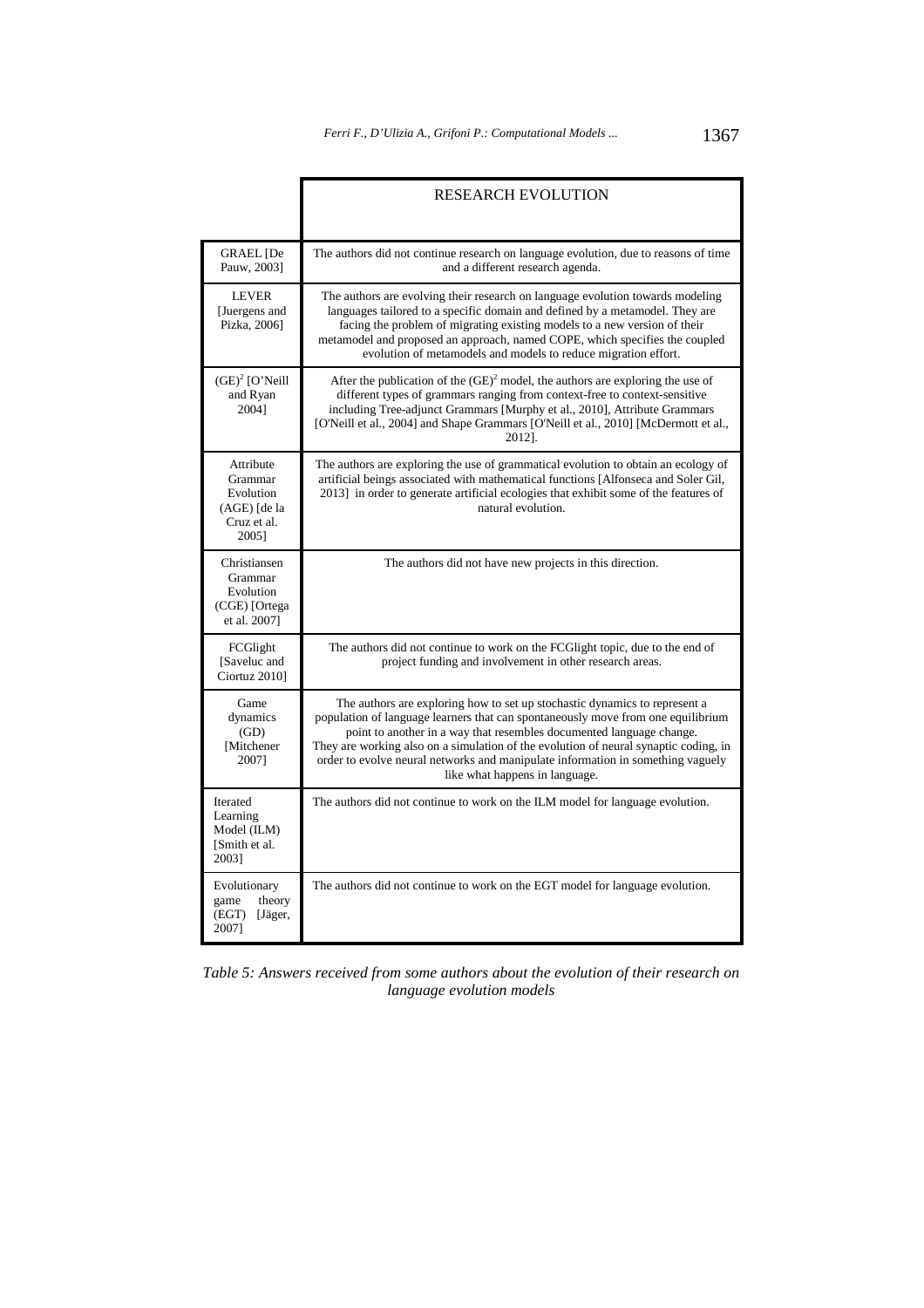|                                                                           | <b>RESEARCH EVOLUTION</b>                                                                                                                                                                                                                                                                                                                                                                                                                           |
|---------------------------------------------------------------------------|-----------------------------------------------------------------------------------------------------------------------------------------------------------------------------------------------------------------------------------------------------------------------------------------------------------------------------------------------------------------------------------------------------------------------------------------------------|
| <b>GRAEL</b> [De<br>Pauw, 2003]                                           | The authors did not continue research on language evolution, due to reasons of time<br>and a different research agenda.                                                                                                                                                                                                                                                                                                                             |
| <b>LEVER</b><br>[Juergens and<br>Pizka, 2006]                             | The authors are evolving their research on language evolution towards modeling<br>languages tailored to a specific domain and defined by a metamodel. They are<br>facing the problem of migrating existing models to a new version of their<br>metamodel and proposed an approach, named COPE, which specifies the coupled<br>evolution of metamodels and models to reduce migration effort.                                                        |
| $(GE)^2$ [O'Neill<br>and Ryan<br>20041                                    | After the publication of the $(GE)^2$ model, the authors are exploring the use of<br>different types of grammars ranging from context-free to context-sensitive<br>including Tree-adjunct Grammars [Murphy et al., 2010], Attribute Grammars<br>[O'Neill et al., 2004] and Shape Grammars [O'Neill et al., 2010] [McDermott et al.,<br>2012].                                                                                                       |
| Attribute<br>Grammar<br>Evolution<br>(AGE) [de la<br>Cruz et al.<br>2005] | The authors are exploring the use of grammatical evolution to obtain an ecology of<br>artificial beings associated with mathematical functions [Alfonseca and Soler Gil,<br>2013] in order to generate artificial ecologies that exhibit some of the features of<br>natural evolution.                                                                                                                                                              |
| Christiansen<br>Grammar<br>Evolution<br>(CGE) [Ortega<br>et al. 2007]     | The authors did not have new projects in this direction.                                                                                                                                                                                                                                                                                                                                                                                            |
| FCGlight<br>[Saveluc and<br>Ciortuz 2010]                                 | The authors did not continue to work on the FCGIight topic, due to the end of<br>project funding and involvement in other research areas.                                                                                                                                                                                                                                                                                                           |
| Game<br>dynamics<br>(GD)<br>[Mitchener<br>20071                           | The authors are exploring how to set up stochastic dynamics to represent a<br>population of language learners that can spontaneously move from one equilibrium<br>point to another in a way that resembles documented language change.<br>They are working also on a simulation of the evolution of neural synaptic coding, in<br>order to evolve neural networks and manipulate information in something vaguely<br>like what happens in language. |
| Iterated<br>Learning<br>Model (ILM)<br>[Smith et al.<br>2003]             | The authors did not continue to work on the ILM model for language evolution.                                                                                                                                                                                                                                                                                                                                                                       |
| Evolutionary<br>game<br>theory<br>(EGT)<br>[Jäger,<br>2007]               | The authors did not continue to work on the EGT model for language evolution.                                                                                                                                                                                                                                                                                                                                                                       |

*Table 5: Answers received from some authors about the evolution of their research on language evolution models* 

T.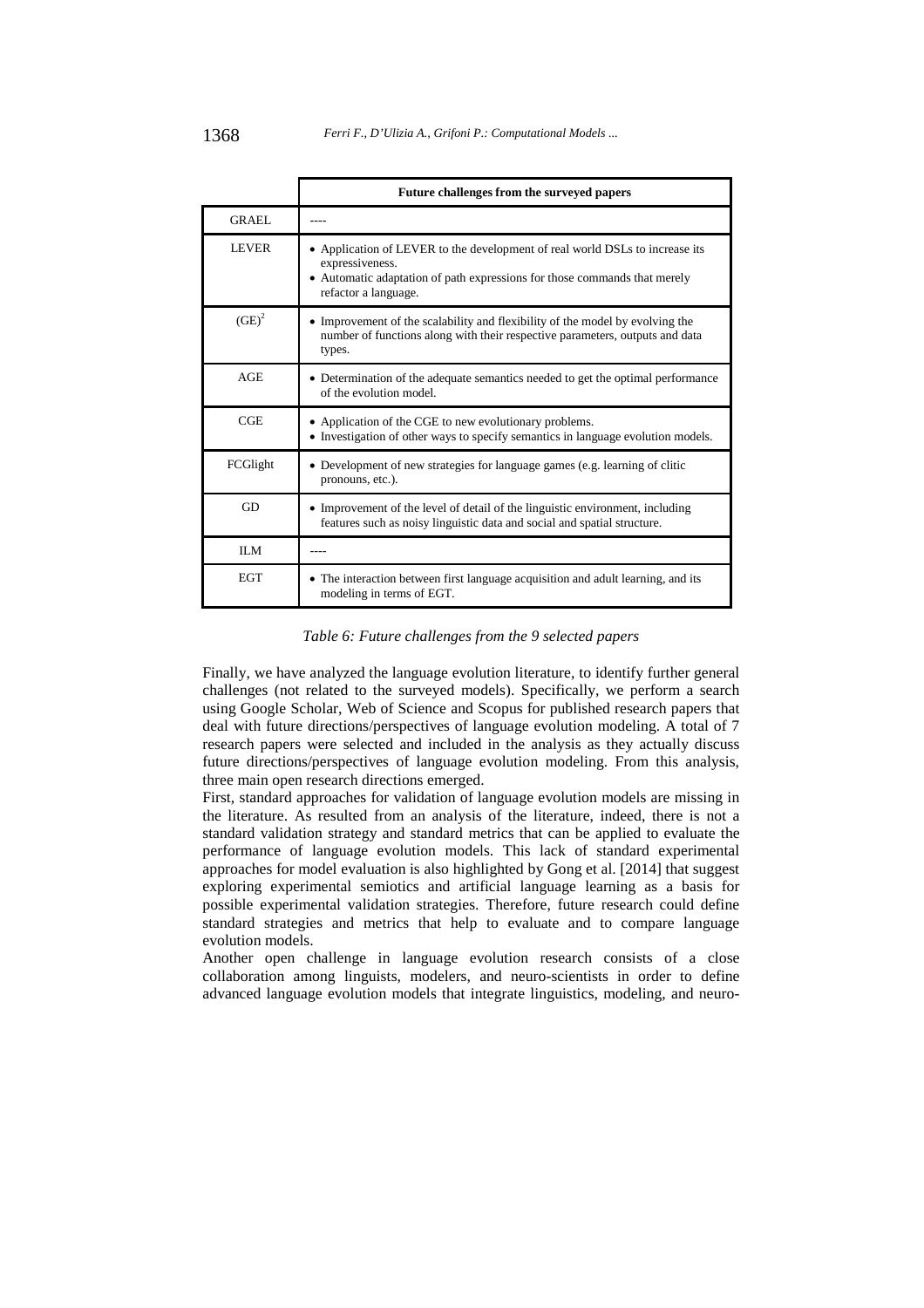|              | Future challenges from the surveyed papers                                                                                                                                                           |
|--------------|------------------------------------------------------------------------------------------------------------------------------------------------------------------------------------------------------|
| GRAEL        |                                                                                                                                                                                                      |
| <b>LEVER</b> | • Application of LEVER to the development of real world DSLs to increase its<br>expressiveness.<br>• Automatic adaptation of path expressions for those commands that merely<br>refactor a language. |
| $(GE)^2$     | • Improvement of the scalability and flexibility of the model by evolving the<br>number of functions along with their respective parameters, outputs and data<br>types.                              |
| AGE          | • Determination of the adequate semantics needed to get the optimal performance<br>of the evolution model.                                                                                           |
| CGE          | • Application of the CGE to new evolutionary problems.<br>• Investigation of other ways to specify semantics in language evolution models.                                                           |
| FCGlight     | • Development of new strategies for language games (e.g. learning of clitic<br>pronouns, etc.).                                                                                                      |
| GD           | • Improvement of the level of detail of the linguistic environment, including<br>features such as noisy linguistic data and social and spatial structure.                                            |
| II.M         |                                                                                                                                                                                                      |
| <b>EGT</b>   | • The interaction between first language acquisition and adult learning, and its<br>modeling in terms of EGT.                                                                                        |

*Table 6: Future challenges from the 9 selected papers* 

Finally, we have analyzed the language evolution literature, to identify further general challenges (not related to the surveyed models). Specifically, we perform a search using Google Scholar, Web of Science and Scopus for published research papers that deal with future directions/perspectives of language evolution modeling. A total of 7 research papers were selected and included in the analysis as they actually discuss future directions/perspectives of language evolution modeling. From this analysis, three main open research directions emerged.

First, standard approaches for validation of language evolution models are missing in the literature. As resulted from an analysis of the literature, indeed, there is not a standard validation strategy and standard metrics that can be applied to evaluate the performance of language evolution models. This lack of standard experimental approaches for model evaluation is also highlighted by Gong et al. [2014] that suggest exploring experimental semiotics and artificial language learning as a basis for possible experimental validation strategies. Therefore, future research could define standard strategies and metrics that help to evaluate and to compare language evolution models.

Another open challenge in language evolution research consists of a close collaboration among linguists, modelers, and neuro-scientists in order to define advanced language evolution models that integrate linguistics, modeling, and neuro-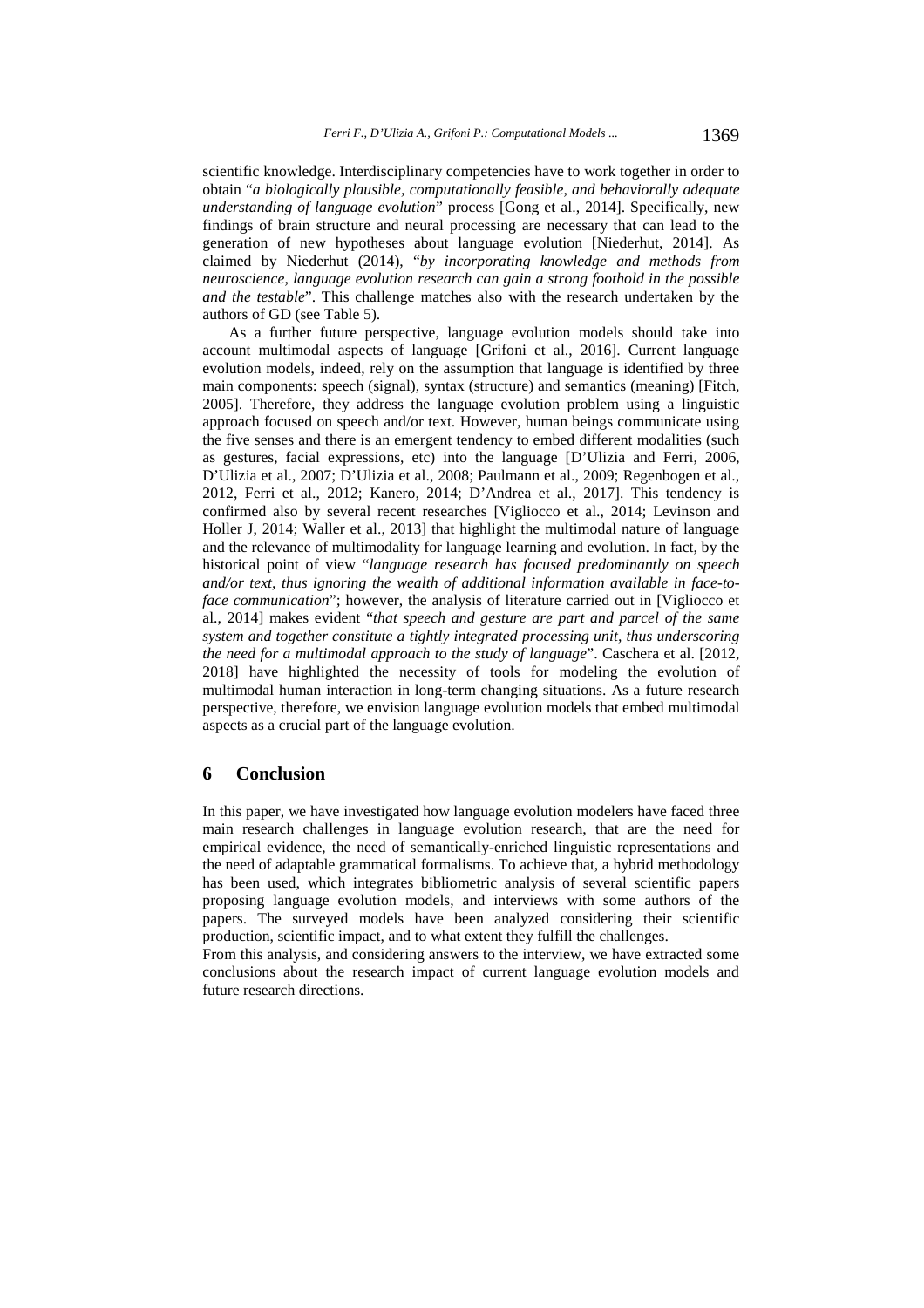scientific knowledge. Interdisciplinary competencies have to work together in order to obtain "*a biologically plausible, computationally feasible, and behaviorally adequate understanding of language evolution*" process [Gong et al., 2014]. Specifically, new findings of brain structure and neural processing are necessary that can lead to the generation of new hypotheses about language evolution [Niederhut, 2014]. As claimed by Niederhut (2014), "*by incorporating knowledge and methods from neuroscience, language evolution research can gain a strong foothold in the possible and the testable*". This challenge matches also with the research undertaken by the authors of GD (see Table 5).

As a further future perspective, language evolution models should take into account multimodal aspects of language [Grifoni et al., 2016]. Current language evolution models, indeed, rely on the assumption that language is identified by three main components: speech (signal), syntax (structure) and semantics (meaning) [Fitch, 2005]. Therefore, they address the language evolution problem using a linguistic approach focused on speech and/or text. However, human beings communicate using the five senses and there is an emergent tendency to embed different modalities (such as gestures, facial expressions, etc) into the language [D'Ulizia and Ferri, 2006, D'Ulizia et al., 2007; D'Ulizia et al., 2008; Paulmann et al., 2009; Regenbogen et al., 2012, Ferri et al., 2012; Kanero, 2014; D'Andrea et al., 2017]. This tendency is confirmed also by several recent researches [Vigliocco et al., 2014; Levinson and Holler J, 2014; Waller et al., 2013] that highlight the multimodal nature of language and the relevance of multimodality for language learning and evolution. In fact, by the historical point of view "*language research has focused predominantly on speech and/or text, thus ignoring the wealth of additional information available in face-toface communication*"; however, the analysis of literature carried out in [Vigliocco et al., 2014] makes evident "*that speech and gesture are part and parcel of the same system and together constitute a tightly integrated processing unit, thus underscoring the need for a multimodal approach to the study of language*". Caschera et al. [2012, 2018] have highlighted the necessity of tools for modeling the evolution of multimodal human interaction in long-term changing situations. As a future research perspective, therefore, we envision language evolution models that embed multimodal aspects as a crucial part of the language evolution.

### **6 Conclusion**

In this paper, we have investigated how language evolution modelers have faced three main research challenges in language evolution research, that are the need for empirical evidence, the need of semantically-enriched linguistic representations and the need of adaptable grammatical formalisms. To achieve that, a hybrid methodology has been used, which integrates bibliometric analysis of several scientific papers proposing language evolution models, and interviews with some authors of the papers. The surveyed models have been analyzed considering their scientific production, scientific impact, and to what extent they fulfill the challenges.

From this analysis, and considering answers to the interview, we have extracted some conclusions about the research impact of current language evolution models and future research directions.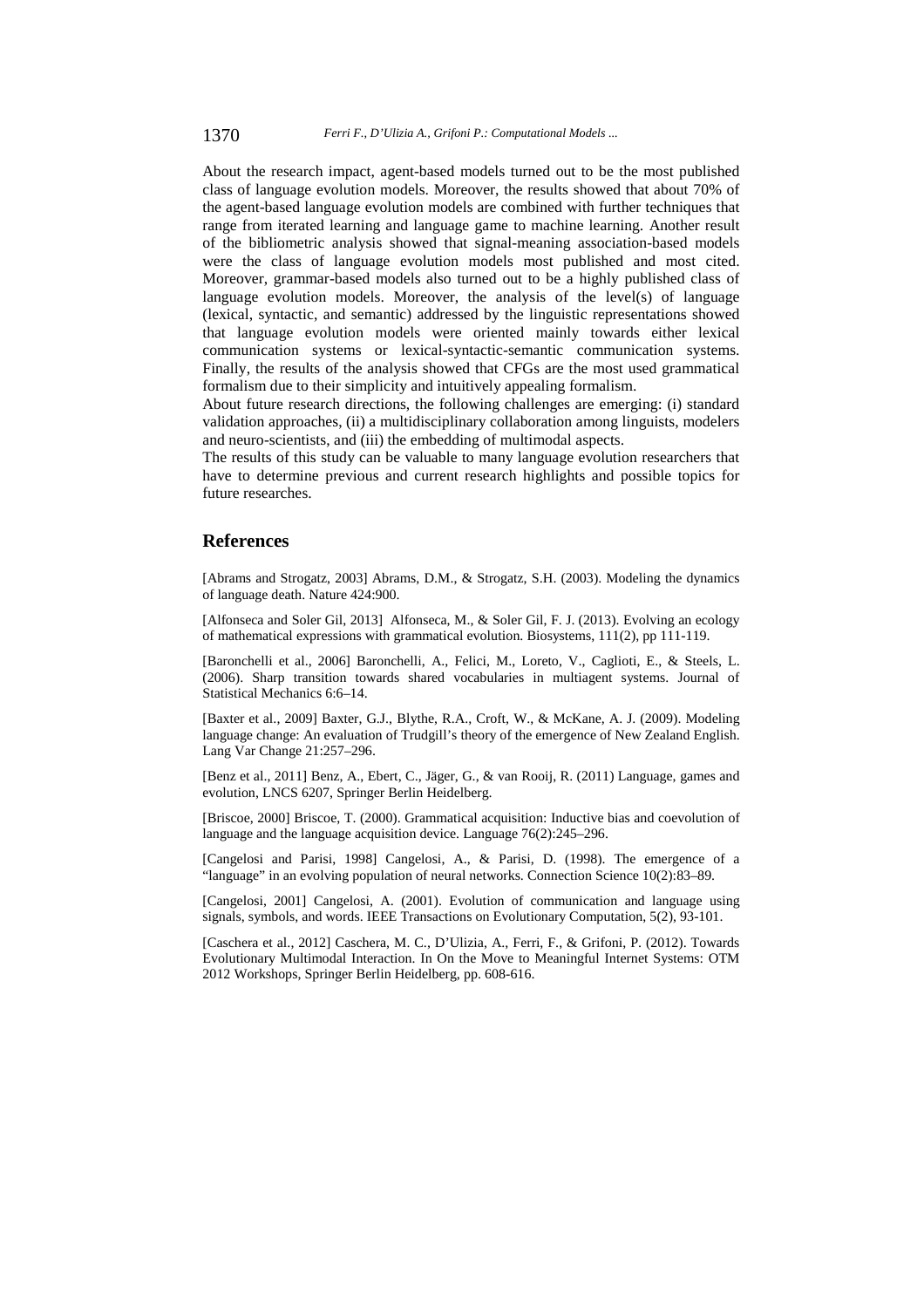About the research impact, agent-based models turned out to be the most published class of language evolution models. Moreover, the results showed that about 70% of the agent-based language evolution models are combined with further techniques that range from iterated learning and language game to machine learning. Another result of the bibliometric analysis showed that signal-meaning association-based models were the class of language evolution models most published and most cited. Moreover, grammar-based models also turned out to be a highly published class of language evolution models. Moreover, the analysis of the level(s) of language (lexical, syntactic, and semantic) addressed by the linguistic representations showed that language evolution models were oriented mainly towards either lexical communication systems or lexical-syntactic-semantic communication systems. Finally, the results of the analysis showed that CFGs are the most used grammatical formalism due to their simplicity and intuitively appealing formalism.

About future research directions, the following challenges are emerging: (i) standard validation approaches, (ii) a multidisciplinary collaboration among linguists, modelers and neuro-scientists, and (iii) the embedding of multimodal aspects.

The results of this study can be valuable to many language evolution researchers that have to determine previous and current research highlights and possible topics for future researches.

### **References**

[Abrams and Strogatz, 2003] Abrams, D.M., & Strogatz, S.H. (2003). Modeling the dynamics of language death. Nature 424:900.

[Alfonseca and Soler Gil, 2013] Alfonseca, M., & Soler Gil, F. J. (2013). Evolving an ecology of mathematical expressions with grammatical evolution. Biosystems, 111(2), pp 111-119.

[Baronchelli et al., 2006] Baronchelli, A., Felici, M., Loreto, V., Caglioti, E., & Steels, L. (2006). Sharp transition towards shared vocabularies in multiagent systems. Journal of Statistical Mechanics 6:6–14.

[Baxter et al., 2009] Baxter, G.J., Blythe, R.A., Croft, W., & McKane, A. J. (2009). Modeling language change: An evaluation of Trudgill's theory of the emergence of New Zealand English. Lang Var Change 21:257–296.

[Benz et al., 2011] Benz, A., Ebert, C., Jäger, G., & van Rooij, R. (2011) Language, games and evolution, LNCS 6207, Springer Berlin Heidelberg.

[Briscoe, 2000] Briscoe, T. (2000). Grammatical acquisition: Inductive bias and coevolution of language and the language acquisition device. Language 76(2):245–296.

[Cangelosi and Parisi, 1998] Cangelosi, A., & Parisi, D. (1998). The emergence of a "language" in an evolving population of neural networks. Connection Science 10(2):83–89.

[Cangelosi, 2001] Cangelosi, A. (2001). Evolution of communication and language using signals, symbols, and words. IEEE Transactions on Evolutionary Computation, 5(2), 93-101.

[Caschera et al., 2012] Caschera, M. C., D'Ulizia, A., Ferri, F., & Grifoni, P. (2012). Towards Evolutionary Multimodal Interaction. In On the Move to Meaningful Internet Systems: OTM 2012 Workshops, Springer Berlin Heidelberg, pp. 608-616.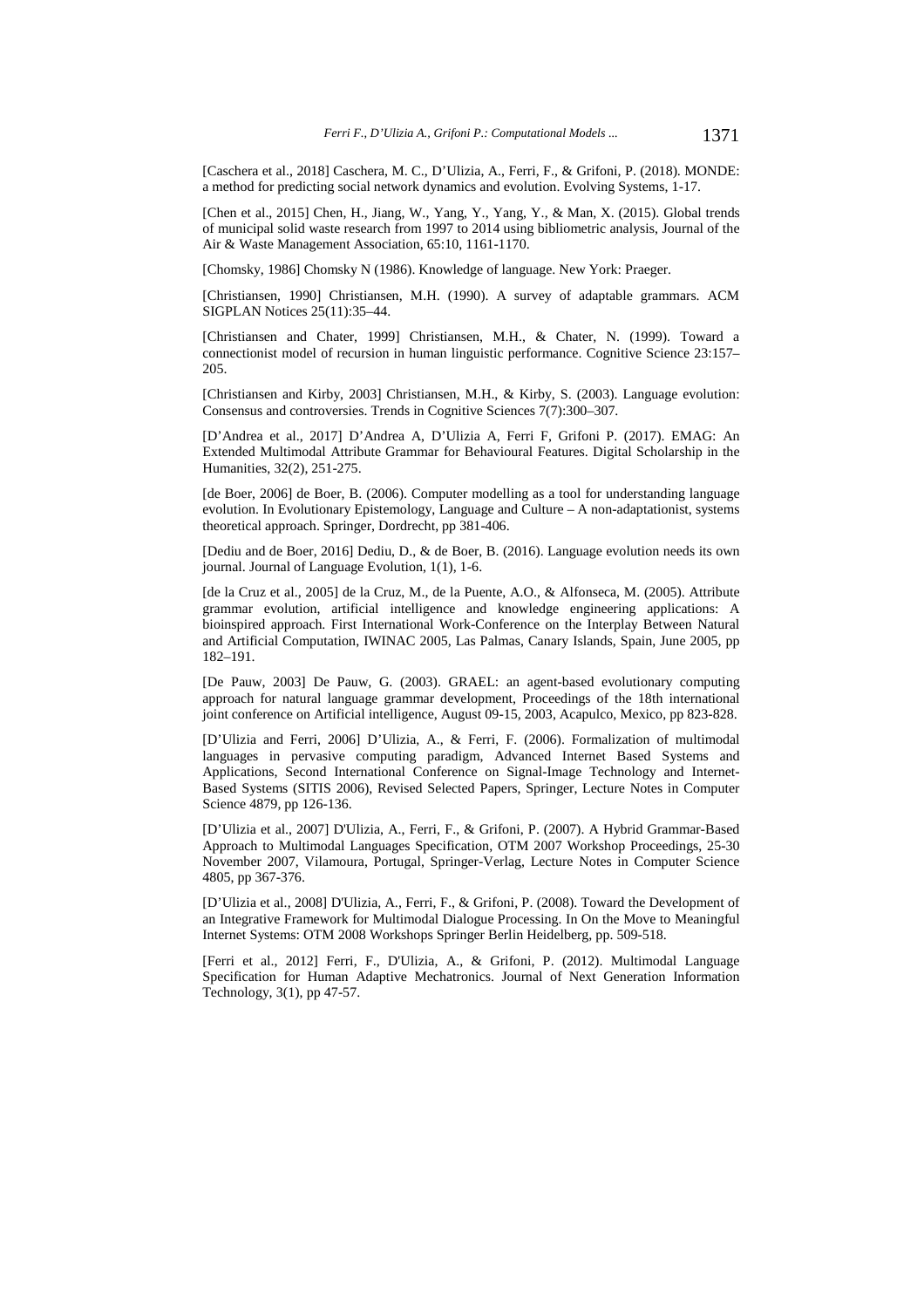[Caschera et al., 2018] Caschera, M. C., D'Ulizia, A., Ferri, F., & Grifoni, P. (2018). MONDE: a method for predicting social network dynamics and evolution. Evolving Systems, 1-17.

[Chen et al., 2015] Chen, H., Jiang, W., Yang, Y., Yang, Y., & Man, X. (2015). Global trends of municipal solid waste research from 1997 to 2014 using bibliometric analysis, Journal of the Air & Waste Management Association, 65:10, 1161-1170.

[Chomsky, 1986] Chomsky N (1986). Knowledge of language. New York: Praeger.

[Christiansen, 1990] Christiansen, M.H. (1990). A survey of adaptable grammars. ACM SIGPLAN Notices 25(11):35–44.

[Christiansen and Chater, 1999] Christiansen, M.H., & Chater, N. (1999). Toward a connectionist model of recursion in human linguistic performance. Cognitive Science 23:157– 205.

[Christiansen and Kirby, 2003] Christiansen, M.H., & Kirby, S. (2003). Language evolution: Consensus and controversies. Trends in Cognitive Sciences 7(7):300–307.

[D'Andrea et al., 2017] D'Andrea A, D'Ulizia A, Ferri F, Grifoni P. (2017). EMAG: An Extended Multimodal Attribute Grammar for Behavioural Features. Digital Scholarship in the Humanities, 32(2), 251-275.

[de Boer, 2006] de Boer, B. (2006). Computer modelling as a tool for understanding language evolution. In Evolutionary Epistemology, Language and Culture – A non-adaptationist, systems theoretical approach. Springer, Dordrecht, pp 381-406.

[Dediu and de Boer, 2016] Dediu, D., & de Boer, B. (2016). Language evolution needs its own journal. Journal of Language Evolution, 1(1), 1-6.

[de la Cruz et al., 2005] de la Cruz, M., de la Puente, A.O., & Alfonseca, M. (2005). Attribute grammar evolution, artificial intelligence and knowledge engineering applications: A bioinspired approach. First International Work-Conference on the Interplay Between Natural and Artificial Computation, IWINAC 2005, Las Palmas, Canary Islands, Spain, June 2005, pp 182–191.

[De Pauw, 2003] De Pauw, G. (2003). GRAEL: an agent-based evolutionary computing approach for natural language grammar development, Proceedings of the 18th international joint conference on Artificial intelligence, August 09-15, 2003, Acapulco, Mexico, pp 823-828.

[D'Ulizia and Ferri, 2006] D'Ulizia, A., & Ferri, F. (2006). Formalization of multimodal languages in pervasive computing paradigm, Advanced Internet Based Systems and Applications, Second International Conference on Signal-Image Technology and Internet-Based Systems (SITIS 2006), Revised Selected Papers, Springer, Lecture Notes in Computer Science 4879, pp 126-136.

[D'Ulizia et al., 2007] D'Ulizia, A., Ferri, F., & Grifoni, P. (2007). A Hybrid Grammar-Based Approach to Multimodal Languages Specification, OTM 2007 Workshop Proceedings, 25-30 November 2007, Vilamoura, Portugal, Springer-Verlag, Lecture Notes in Computer Science 4805, pp 367-376.

[D'Ulizia et al., 2008] D'Ulizia, A., Ferri, F., & Grifoni, P. (2008). Toward the Development of an Integrative Framework for Multimodal Dialogue Processing. In On the Move to Meaningful Internet Systems: OTM 2008 Workshops Springer Berlin Heidelberg, pp. 509-518.

[Ferri et al., 2012] Ferri, F., D'Ulizia, A., & Grifoni, P. (2012). Multimodal Language Specification for Human Adaptive Mechatronics. Journal of Next Generation Information Technology, 3(1), pp 47-57.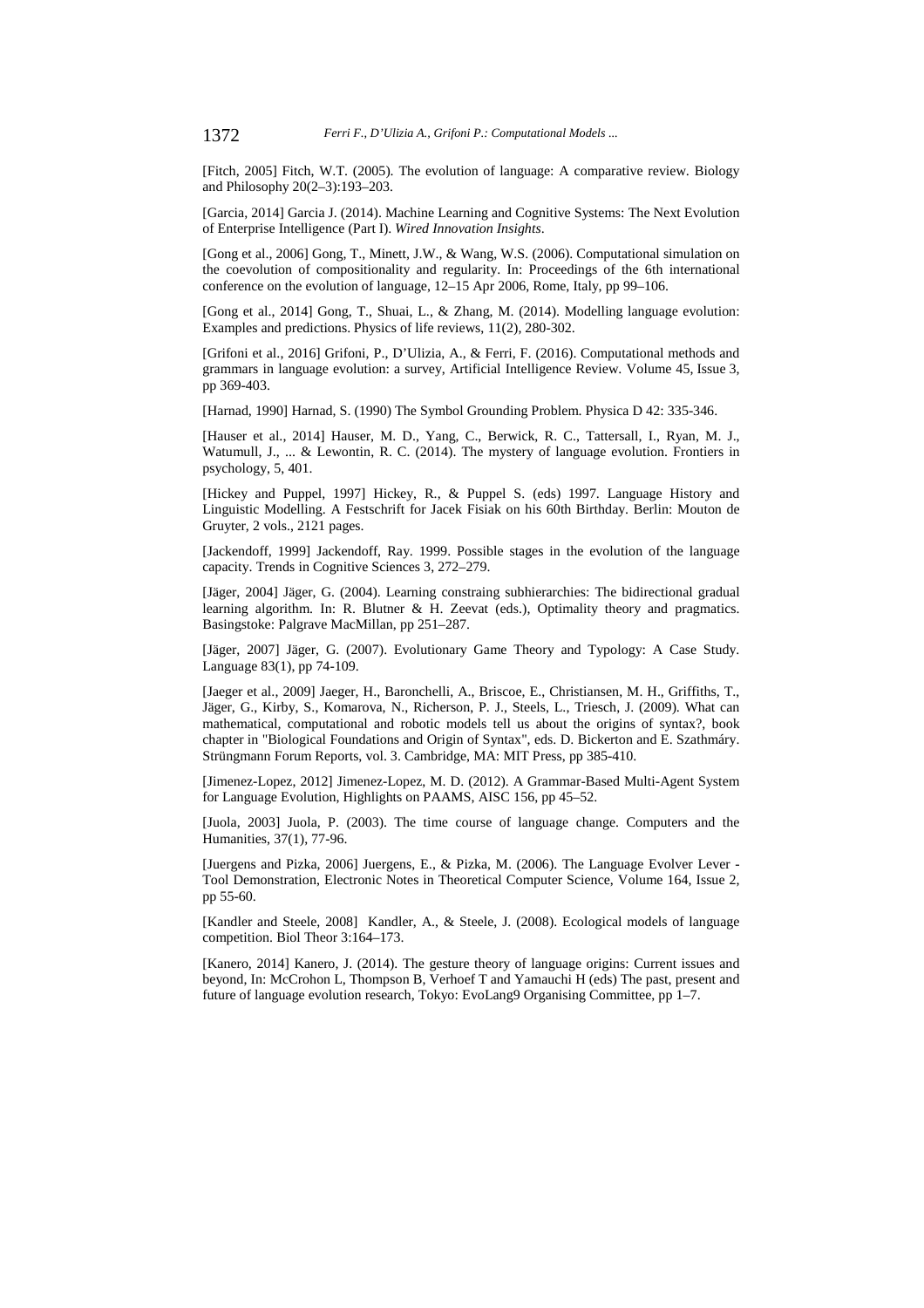[Fitch, 2005] Fitch, W.T. (2005). The evolution of language: A comparative review. Biology and Philosophy 20(2–3):193–203.

[Garcia, 2014] Garcia J. (2014). Machine Learning and Cognitive Systems: The Next Evolution of Enterprise Intelligence (Part I). *Wired Innovation Insights*.

[Gong et al., 2006] Gong, T., Minett, J.W., & Wang, W.S. (2006). Computational simulation on the coevolution of compositionality and regularity. In: Proceedings of the 6th international conference on the evolution of language, 12–15 Apr 2006, Rome, Italy, pp 99–106.

[Gong et al., 2014] Gong, T., Shuai, L., & Zhang, M. (2014). Modelling language evolution: Examples and predictions. Physics of life reviews, 11(2), 280-302.

[Grifoni et al., 2016] Grifoni, P., D'Ulizia, A., & Ferri, F. (2016). Computational methods and grammars in language evolution: a survey, Artificial Intelligence Review. Volume 45, Issue 3, pp 369-403.

[Harnad, 1990] Harnad, S. (1990) The Symbol Grounding Problem. Physica D 42: 335-346.

[Hauser et al., 2014] Hauser, M. D., Yang, C., Berwick, R. C., Tattersall, I., Ryan, M. J., Watumull, J., ... & Lewontin, R. C. (2014). The mystery of language evolution. Frontiers in psychology, 5, 401.

[Hickey and Puppel, 1997] Hickey, R., & Puppel S. (eds) 1997. Language History and Linguistic Modelling. A Festschrift for Jacek Fisiak on his 60th Birthday. Berlin: Mouton de Gruyter, 2 vols., 2121 pages.

[Jackendoff, 1999] Jackendoff, Ray. 1999. Possible stages in the evolution of the language capacity. Trends in Cognitive Sciences 3, 272–279.

[Jäger, 2004] Jäger, G. (2004). Learning constraing subhierarchies: The bidirectional gradual learning algorithm. In: R. Blutner & H. Zeevat (eds.), Optimality theory and pragmatics. Basingstoke: Palgrave MacMillan, pp 251–287.

[Jäger, 2007] Jäger, G. (2007). Evolutionary Game Theory and Typology: A Case Study. Language 83(1), pp 74-109.

[Jaeger et al., 2009] Jaeger, H., Baronchelli, A., Briscoe, E., Christiansen, M. H., Griffiths, T., Jäger, G., Kirby, S., Komarova, N., Richerson, P. J., Steels, L., Triesch, J. (2009). What can mathematical, computational and robotic models tell us about the origins of syntax?, book chapter in "Biological Foundations and Origin of Syntax", eds. D. Bickerton and E. Szathmáry. Strüngmann Forum Reports, vol. 3. Cambridge, MA: MIT Press, pp 385-410.

[Jimenez-Lopez, 2012] Jimenez-Lopez, M. D. (2012). A Grammar-Based Multi-Agent System for Language Evolution, Highlights on PAAMS, AISC 156, pp 45–52.

[Juola, 2003] Juola, P. (2003). The time course of language change. Computers and the Humanities, 37(1), 77-96.

[Juergens and Pizka, 2006] Juergens, E., & Pizka, M. (2006). The Language Evolver Lever - Tool Demonstration, Electronic Notes in Theoretical Computer Science, Volume 164, Issue 2, pp 55-60.

[Kandler and Steele, 2008] Kandler, A., & Steele, J. (2008). Ecological models of language competition. Biol Theor 3:164–173.

[Kanero, 2014] Kanero, J. (2014). The gesture theory of language origins: Current issues and beyond, In: McCrohon L, Thompson B, Verhoef T and Yamauchi H (eds) The past, present and future of language evolution research, Tokyo: EvoLang9 Organising Committee, pp 1–7.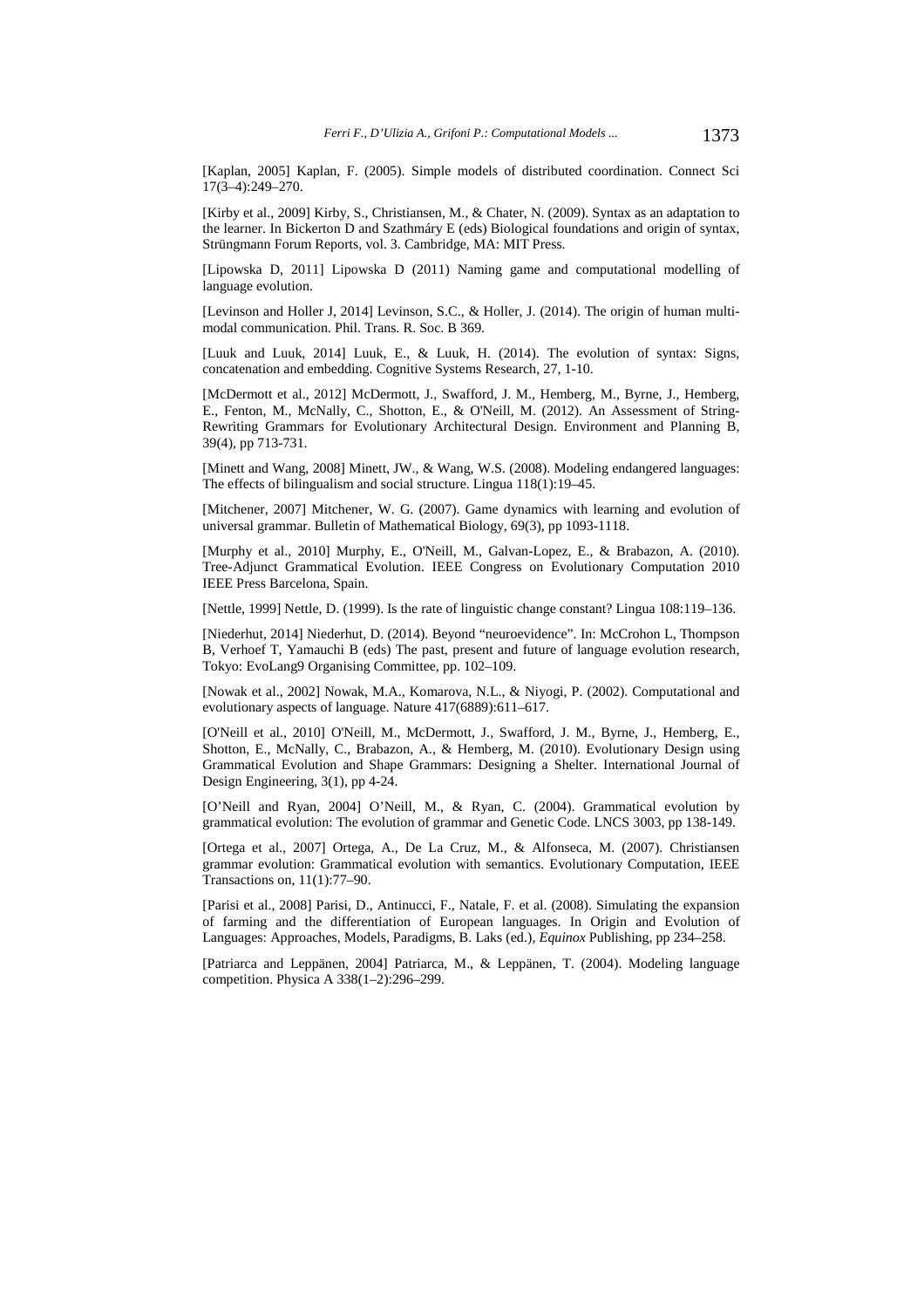[Kaplan, 2005] Kaplan, F. (2005). Simple models of distributed coordination. Connect Sci 17(3–4):249–270.

[Kirby et al., 2009] Kirby, S., Christiansen, M., & Chater, N. (2009). Syntax as an adaptation to the learner. In Bickerton D and Szathmáry E (eds) Biological foundations and origin of syntax, Strüngmann Forum Reports, vol. 3. Cambridge, MA: MIT Press.

[Lipowska D, 2011] Lipowska D (2011) Naming game and computational modelling of language evolution.

[Levinson and Holler J, 2014] Levinson, S.C., & Holler, J. (2014). The origin of human multimodal communication. Phil. Trans. R. Soc. B 369.

[Luuk and Luuk, 2014] Luuk, E., & Luuk, H. (2014). The evolution of syntax: Signs, concatenation and embedding. Cognitive Systems Research, 27, 1-10.

[McDermott et al., 2012] McDermott, J., Swafford, J. M., Hemberg, M., Byrne, J., Hemberg, E., Fenton, M., McNally, C., Shotton, E., & O'Neill, M. (2012). An Assessment of String-Rewriting Grammars for Evolutionary Architectural Design. Environment and Planning B, 39(4), pp 713-731.

[Minett and Wang, 2008] Minett, JW., & Wang, W.S. (2008). Modeling endangered languages: The effects of bilingualism and social structure. Lingua 118(1):19–45.

[Mitchener, 2007] Mitchener, W. G. (2007). Game dynamics with learning and evolution of universal grammar. Bulletin of Mathematical Biology, 69(3), pp 1093-1118.

[Murphy et al., 2010] Murphy, E., O'Neill, M., Galvan-Lopez, E., & Brabazon, A. (2010). Tree-Adjunct Grammatical Evolution. IEEE Congress on Evolutionary Computation 2010 IEEE Press Barcelona, Spain.

[Nettle, 1999] Nettle, D. (1999). Is the rate of linguistic change constant? Lingua 108:119–136.

[Niederhut, 2014] Niederhut, D. (2014). Beyond "neuroevidence". In: McCrohon L, Thompson B, Verhoef T, Yamauchi B (eds) The past, present and future of language evolution research, Tokyo: EvoLang9 Organising Committee, pp. 102–109.

[Nowak et al., 2002] Nowak, M.A., Komarova, N.L., & Niyogi, P. (2002). Computational and evolutionary aspects of language. Nature 417(6889):611–617.

[O'Neill et al., 2010] O'Neill, M., McDermott, J., Swafford, J. M., Byrne, J., Hemberg, E., Shotton, E., McNally, C., Brabazon, A., & Hemberg, M. (2010). Evolutionary Design using Grammatical Evolution and Shape Grammars: Designing a Shelter. International Journal of Design Engineering, 3(1), pp 4-24.

[O'Neill and Ryan, 2004] O'Neill, M., & Ryan, C. (2004). Grammatical evolution by grammatical evolution: The evolution of grammar and Genetic Code. LNCS 3003, pp 138-149.

[Ortega et al., 2007] Ortega, A., De La Cruz, M., & Alfonseca, M. (2007). Christiansen grammar evolution: Grammatical evolution with semantics. Evolutionary Computation, IEEE Transactions on, 11(1):77–90.

[Parisi et al., 2008] Parisi, D., Antinucci, F., Natale, F. et al. (2008). Simulating the expansion of farming and the differentiation of European languages. In Origin and Evolution of Languages: Approaches, Models, Paradigms, B. Laks (ed.), *Equinox* Publishing, pp 234–258.

[Patriarca and Leppänen, 2004] Patriarca, M., & Leppänen, T. (2004). Modeling language competition. Physica A 338(1–2):296–299.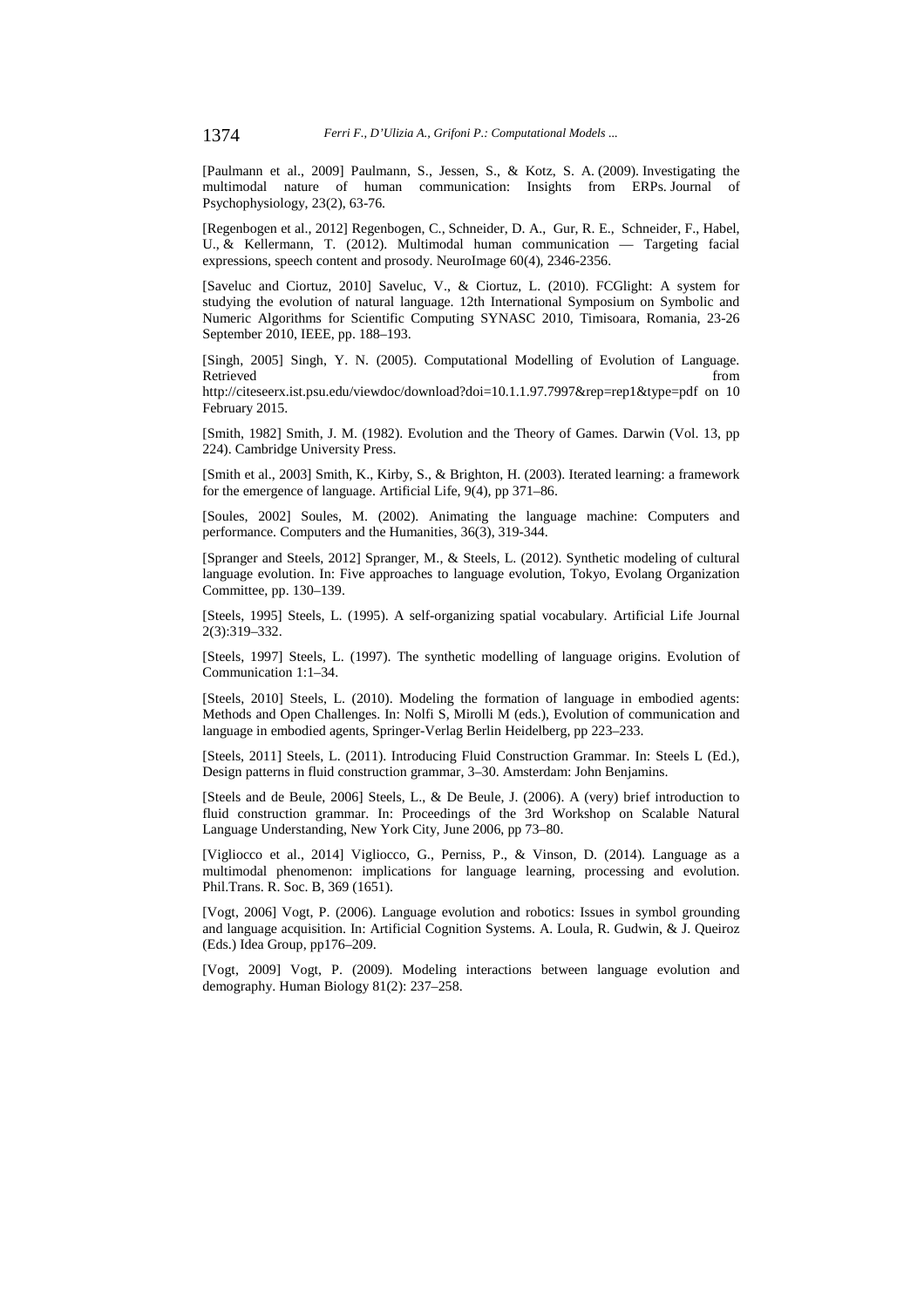[Paulmann et al., 2009] Paulmann, S., Jessen, S., & Kotz, S. A. (2009). Investigating the multimodal nature of human communication: Insights from ERPs. Journal of Psychophysiology, 23(2), 63-76.

[Regenbogen et al., 2012] Regenbogen, C., Schneider, D. A., Gur, R. E., Schneider, F., Habel, U., & Kellermann, T. (2012). Multimodal human communication — Targeting facial expressions, speech content and prosody. NeuroImage 60(4), 2346-2356.

[Saveluc and Ciortuz, 2010] Saveluc, V., & Ciortuz, L. (2010). FCGlight: A system for studying the evolution of natural language. 12th International Symposium on Symbolic and Numeric Algorithms for Scientific Computing SYNASC 2010, Timisoara, Romania, 23-26 September 2010, IEEE, pp. 188–193.

[Singh, 2005] Singh, Y. N. (2005). Computational Modelling of Evolution of Language. Retrieved that the contract of the contract of the contract of the contract of the contract of the contract of the contract of the contract of the contract of the contract of the contract of the contract of the contract of

http://citeseerx.ist.psu.edu/viewdoc/download?doi=10.1.1.97.7997&rep=rep1&type=pdf on 10 February 2015.

[Smith, 1982] Smith, J. M. (1982). Evolution and the Theory of Games. Darwin (Vol. 13, pp 224). Cambridge University Press.

[Smith et al., 2003] Smith, K., Kirby, S., & Brighton, H. (2003). Iterated learning: a framework for the emergence of language. Artificial Life, 9(4), pp 371–86.

[Soules, 2002] Soules, M. (2002). Animating the language machine: Computers and performance. Computers and the Humanities, 36(3), 319-344.

[Spranger and Steels, 2012] Spranger, M., & Steels, L. (2012). Synthetic modeling of cultural language evolution. In: Five approaches to language evolution, Tokyo, Evolang Organization Committee, pp. 130–139.

[Steels, 1995] Steels, L. (1995). A self-organizing spatial vocabulary. Artificial Life Journal 2(3):319–332.

[Steels, 1997] Steels, L. (1997). The synthetic modelling of language origins. Evolution of Communication 1:1–34.

[Steels, 2010] Steels, L. (2010). Modeling the formation of language in embodied agents: Methods and Open Challenges. In: Nolfi S, Mirolli M (eds.), Evolution of communication and language in embodied agents, Springer-Verlag Berlin Heidelberg, pp 223–233.

[Steels, 2011] Steels, L. (2011). Introducing Fluid Construction Grammar. In: Steels L (Ed.), Design patterns in fluid construction grammar, 3–30. Amsterdam: John Benjamins.

[Steels and de Beule, 2006] Steels, L., & De Beule, J. (2006). A (very) brief introduction to fluid construction grammar. In: Proceedings of the 3rd Workshop on Scalable Natural Language Understanding, New York City, June 2006, pp 73–80.

[Vigliocco et al., 2014] Vigliocco, G., Perniss, P., & Vinson, D. (2014). Language as a multimodal phenomenon: implications for language learning, processing and evolution. Phil.Trans. R. Soc. B, 369 (1651).

[Vogt, 2006] Vogt, P. (2006). Language evolution and robotics: Issues in symbol grounding and language acquisition. In: Artificial Cognition Systems. A. Loula, R. Gudwin, & J. Queiroz (Eds.) Idea Group, pp176–209.

[Vogt, 2009] Vogt, P. (2009). Modeling interactions between language evolution and demography. Human Biology 81(2): 237–258.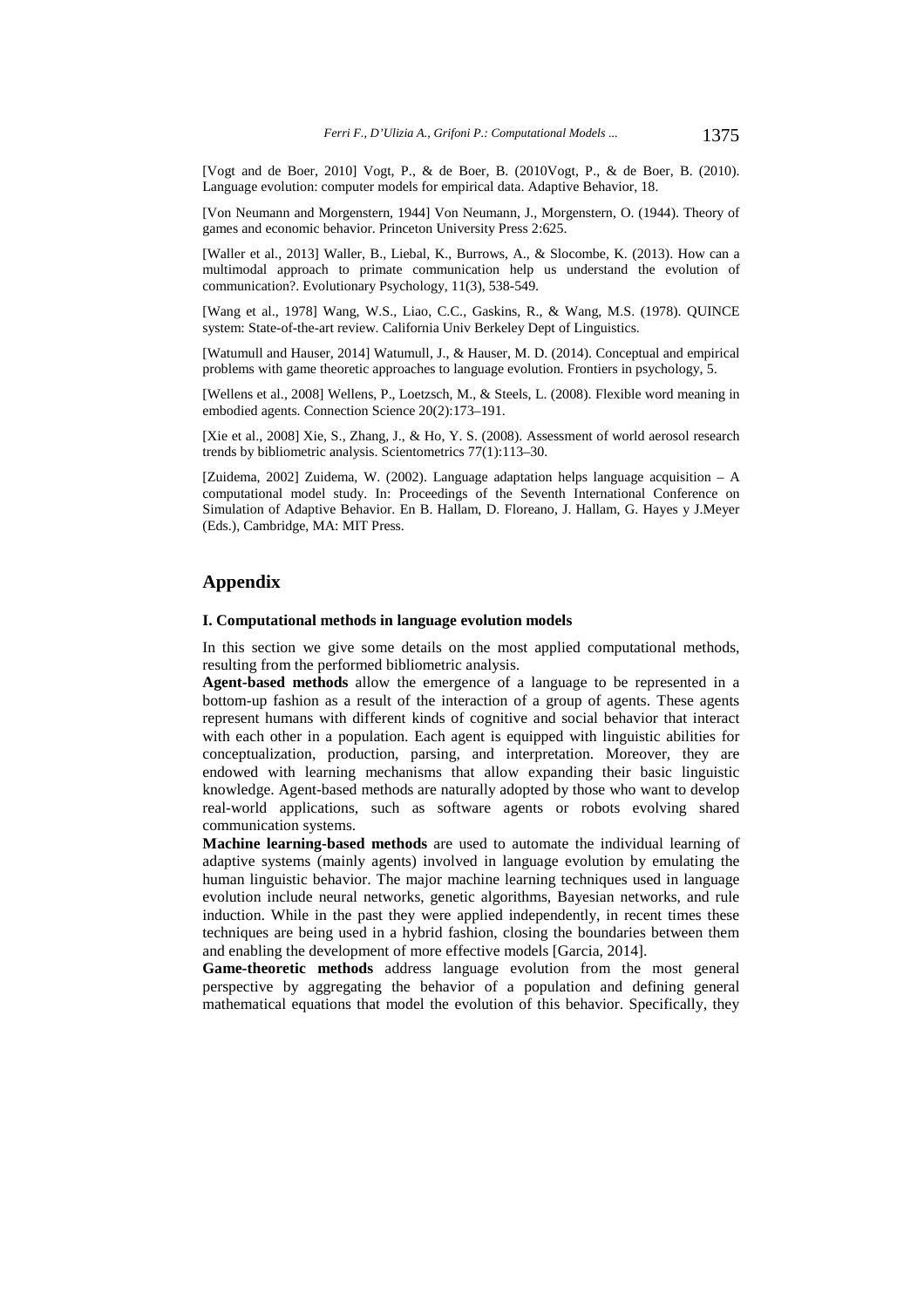[Vogt and de Boer, 2010] Vogt, P., & de Boer, B. (2010Vogt, P., & de Boer, B. (2010). Language evolution: computer models for empirical data. Adaptive Behavior, 18.

[Von Neumann and Morgenstern, 1944] Von Neumann, J., Morgenstern, O. (1944). Theory of games and economic behavior. Princeton University Press 2:625.

[Waller et al., 2013] Waller, B., Liebal, K., Burrows, A., & Slocombe, K. (2013). How can a multimodal approach to primate communication help us understand the evolution of communication?. Evolutionary Psychology, 11(3), 538-549.

[Wang et al., 1978] Wang, W.S., Liao, C.C., Gaskins, R., & Wang, M.S. (1978). QUINCE system: State-of-the-art review. California Univ Berkeley Dept of Linguistics.

[Watumull and Hauser, 2014] Watumull, J., & Hauser, M. D. (2014). Conceptual and empirical problems with game theoretic approaches to language evolution. Frontiers in psychology, 5.

[Wellens et al., 2008] Wellens, P., Loetzsch, M., & Steels, L. (2008). Flexible word meaning in embodied agents. Connection Science 20(2):173–191.

[Xie et al., 2008] Xie, S., Zhang, J., & Ho, Y. S. (2008). Assessment of world aerosol research trends by bibliometric analysis. Scientometrics 77(1):113–30.

[Zuidema, 2002] Zuidema, W. (2002). Language adaptation helps language acquisition – A computational model study. In: Proceedings of the Seventh International Conference on Simulation of Adaptive Behavior. En B. Hallam, D. Floreano, J. Hallam, G. Hayes y J.Meyer (Eds.), Cambridge, MA: MIT Press.

### **Appendix**

#### **I. Computational methods in language evolution models**

In this section we give some details on the most applied computational methods, resulting from the performed bibliometric analysis.

**Agent-based methods** allow the emergence of a language to be represented in a bottom-up fashion as a result of the interaction of a group of agents. These agents represent humans with different kinds of cognitive and social behavior that interact with each other in a population. Each agent is equipped with linguistic abilities for conceptualization, production, parsing, and interpretation. Moreover, they are endowed with learning mechanisms that allow expanding their basic linguistic knowledge. Agent-based methods are naturally adopted by those who want to develop real-world applications, such as software agents or robots evolving shared communication systems.

**Machine learning-based methods** are used to automate the individual learning of adaptive systems (mainly agents) involved in language evolution by emulating the human linguistic behavior. The major machine learning techniques used in language evolution include neural networks, genetic algorithms, Bayesian networks, and rule induction. While in the past they were applied independently, in recent times these techniques are being used in a hybrid fashion, closing the boundaries between them and enabling the development of more effective models [Garcia, 2014].

**Game-theoretic methods** address language evolution from the most general perspective by aggregating the behavior of a population and defining general mathematical equations that model the evolution of this behavior. Specifically, they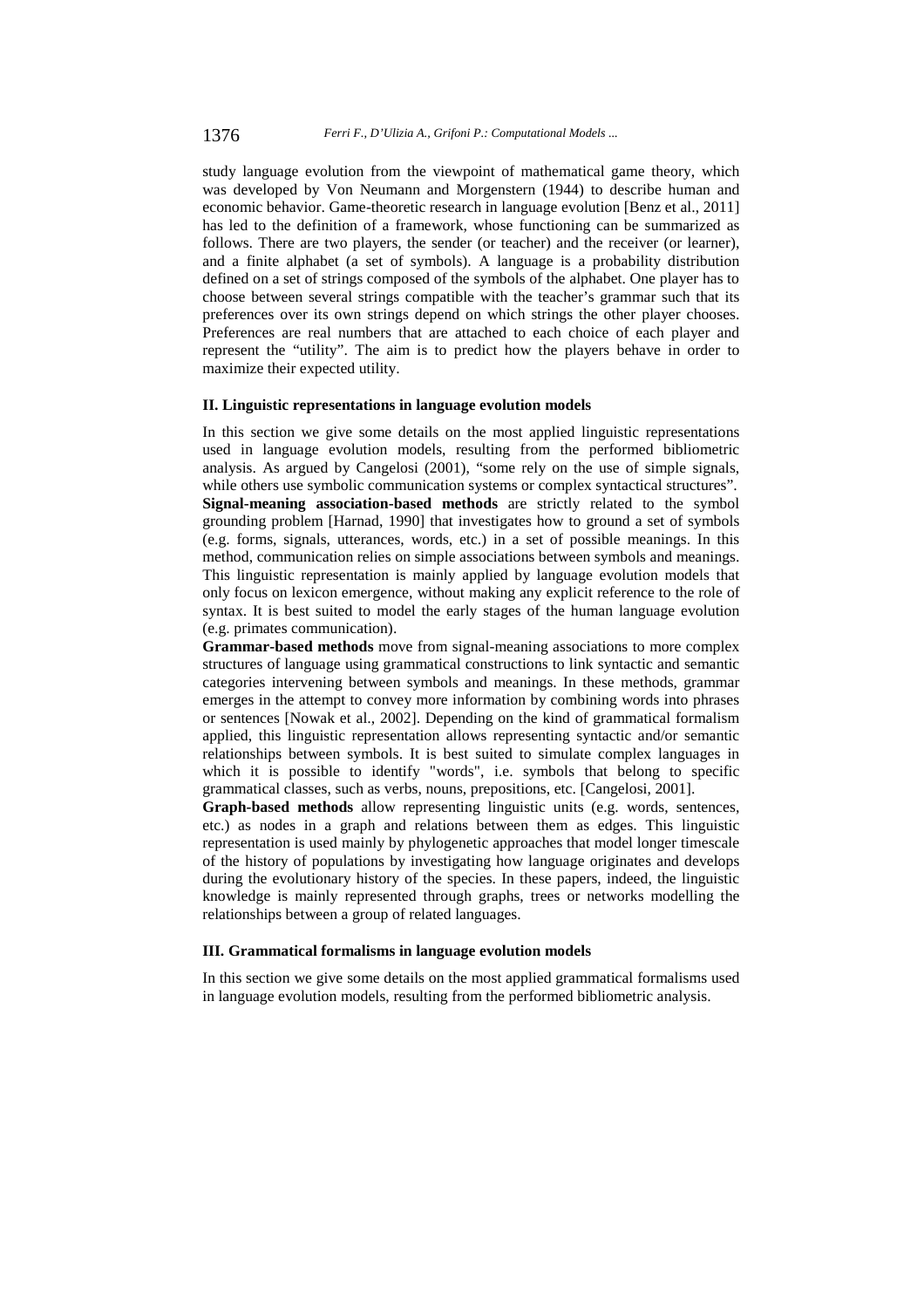study language evolution from the viewpoint of mathematical game theory, which was developed by Von Neumann and Morgenstern (1944) to describe human and economic behavior. Game-theoretic research in language evolution [Benz et al., 2011] has led to the definition of a framework, whose functioning can be summarized as follows. There are two players, the sender (or teacher) and the receiver (or learner), and a finite alphabet (a set of symbols). A language is a probability distribution defined on a set of strings composed of the symbols of the alphabet. One player has to choose between several strings compatible with the teacher's grammar such that its preferences over its own strings depend on which strings the other player chooses. Preferences are real numbers that are attached to each choice of each player and represent the "utility". The aim is to predict how the players behave in order to maximize their expected utility.

#### **II. Linguistic representations in language evolution models**

In this section we give some details on the most applied linguistic representations used in language evolution models, resulting from the performed bibliometric analysis. As argued by Cangelosi (2001), "some rely on the use of simple signals, while others use symbolic communication systems or complex syntactical structures". **Signal-meaning association-based methods** are strictly related to the symbol grounding problem [Harnad, 1990] that investigates how to ground a set of symbols (e.g. forms, signals, utterances, words, etc.) in a set of possible meanings. In this method, communication relies on simple associations between symbols and meanings. This linguistic representation is mainly applied by language evolution models that only focus on lexicon emergence, without making any explicit reference to the role of syntax. It is best suited to model the early stages of the human language evolution (e.g. primates communication).

**Grammar-based methods** move from signal-meaning associations to more complex structures of language using grammatical constructions to link syntactic and semantic categories intervening between symbols and meanings. In these methods, grammar emerges in the attempt to convey more information by combining words into phrases or sentences [Nowak et al., 2002]. Depending on the kind of grammatical formalism applied, this linguistic representation allows representing syntactic and/or semantic relationships between symbols. It is best suited to simulate complex languages in which it is possible to identify "words", i.e. symbols that belong to specific grammatical classes, such as verbs, nouns, prepositions, etc. [Cangelosi, 2001].

**Graph-based methods** allow representing linguistic units (e.g. words, sentences, etc.) as nodes in a graph and relations between them as edges. This linguistic representation is used mainly by phylogenetic approaches that model longer timescale of the history of populations by investigating how language originates and develops during the evolutionary history of the species. In these papers, indeed, the linguistic knowledge is mainly represented through graphs, trees or networks modelling the relationships between a group of related languages.

#### **III. Grammatical formalisms in language evolution models**

In this section we give some details on the most applied grammatical formalisms used in language evolution models, resulting from the performed bibliometric analysis.